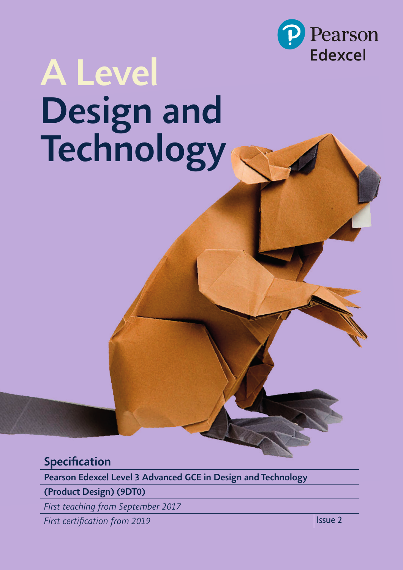

# *A Level Design and Technology*

# *Specifi cation*

*Pearson Edexcel Level 3 Advanced GCE in Design and Technology*

*(Product Design) (9DT0)*

*First teaching from September 2017*

*First certifi cation from 2019 Issue 2*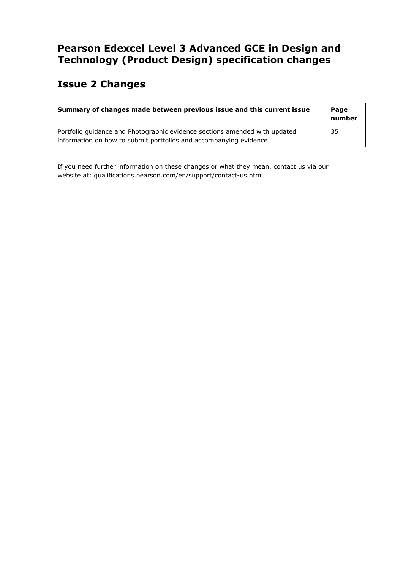## **Pearson Edexcel Level 3 Advanced GCE in Design and Technology (Product Design) specification changes**

# **Issue 2 Changes**

| Summary of changes made between previous issue and this current issue                                                                           | Page<br>number |
|-------------------------------------------------------------------------------------------------------------------------------------------------|----------------|
| Portfolio guidance and Photographic evidence sections amended with updated<br>information on how to submit portfolios and accompanying evidence | -35            |

If you need further information on these changes or what they mean, contact us via our website at: qualifications.pearson.com/en/support/contact-us.html.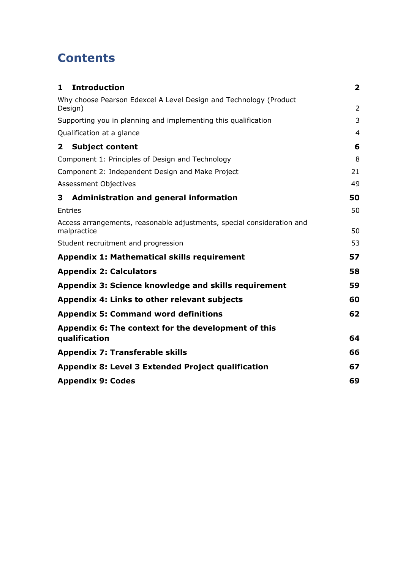# **Contents**

| <b>Introduction</b><br>$\mathbf{1}$                                                   | $\overline{\mathbf{2}}$ |
|---------------------------------------------------------------------------------------|-------------------------|
| Why choose Pearson Edexcel A Level Design and Technology (Product<br>Design)          | $\overline{2}$          |
| Supporting you in planning and implementing this qualification                        | 3                       |
| Qualification at a glance                                                             | 4                       |
| <b>Subject content</b><br>$\mathbf{2}$                                                | 6                       |
| Component 1: Principles of Design and Technology                                      | 8                       |
| Component 2: Independent Design and Make Project                                      | 21                      |
| <b>Assessment Objectives</b>                                                          | 49                      |
| Administration and general information<br>3                                           | 50                      |
| <b>Entries</b>                                                                        | 50                      |
| Access arrangements, reasonable adjustments, special consideration and<br>malpractice | 50                      |
| Student recruitment and progression                                                   | 53                      |
| <b>Appendix 1: Mathematical skills requirement</b>                                    | 57                      |
| <b>Appendix 2: Calculators</b>                                                        | 58                      |
| Appendix 3: Science knowledge and skills requirement                                  | 59                      |
| Appendix 4: Links to other relevant subjects                                          | 60                      |
| <b>Appendix 5: Command word definitions</b>                                           | 62                      |
| Appendix 6: The context for the development of this                                   |                         |
| qualification                                                                         | 64                      |
| <b>Appendix 7: Transferable skills</b>                                                | 66                      |
| Appendix 8: Level 3 Extended Project qualification                                    | 67                      |
| <b>Appendix 9: Codes</b>                                                              | 69                      |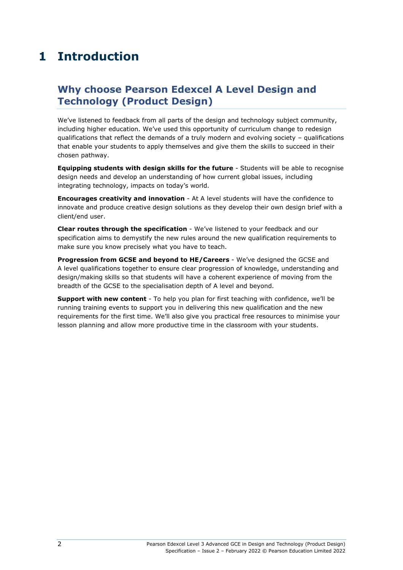# <span id="page-5-0"></span>**1 Introduction**

## <span id="page-5-1"></span>**Why choose Pearson Edexcel A Level Design and Technology (Product Design)**

We've listened to feedback from all parts of the design and technology subject community, including higher education. We've used this opportunity of curriculum change to redesign qualifications that reflect the demands of a truly modern and evolving society – qualifications that enable your students to apply themselves and give them the skills to succeed in their chosen pathway.

**Equipping students with design skills for the future** - Students will be able to recognise design needs and develop an understanding of how current global issues, including integrating technology, impacts on today's world.

**Encourages creativity and innovation** - At A level students will have the confidence to innovate and produce creative design solutions as they develop their own design brief with a client/end user.

**Clear routes through the specification** - We've listened to your feedback and our specification aims to demystify the new rules around the new qualification requirements to make sure you know precisely what you have to teach.

**Progression from GCSE and beyond to HE/Careers** - We've designed the GCSE and A level qualifications together to ensure clear progression of knowledge, understanding and design/making skills so that students will have a coherent experience of moving from the breadth of the GCSE to the specialisation depth of A level and beyond.

**Support with new content** - To help you plan for first teaching with confidence, we'll be running training events to support you in delivering this new qualification and the new requirements for the first time. We'll also give you practical free resources to minimise your lesson planning and allow more productive time in the classroom with your students.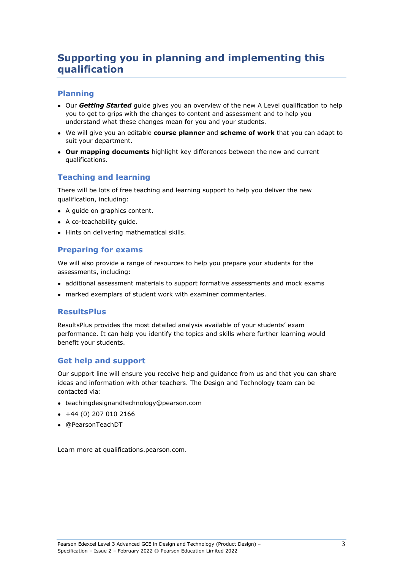## <span id="page-6-0"></span>**Supporting you in planning and implementing this qualification**

#### **Planning**

- Our **Getting Started** quide gives you an overview of the new A Level qualification to help you to get to grips with the changes to content and assessment and to help you understand what these changes mean for you and your students.
- We will give you an editable **course planner** and **scheme of work** that you can adapt to suit your department.
- **Our mapping documents** highlight key differences between the new and current qualifications.

#### **Teaching and learning**

There will be lots of free teaching and learning support to help you deliver the new qualification, including:

- A guide on graphics content.
- A co-teachability quide.
- Hints on delivering mathematical skills.

#### **Preparing for exams**

We will also provide a range of resources to help you prepare your students for the assessments, including:

- additional assessment materials to support formative assessments and mock exams
- marked exemplars of student work with examiner commentaries.

#### **ResultsPlus**

ResultsPlus provides the most detailed analysis available of your students' exam performance. It can help you identify the topics and skills where further learning would benefit your students.

#### **Get help and support**

Our support line will ensure you receive help and guidance from us and that you can share ideas and information with other teachers. The Design and Technology team can be contacted via:

- [teachingdesignandtechnology@pearson.com](mailto:teachingdesignandtechnology@pearson.com)
- $+44(0)$  207 010 2166
- [@PearsonTeachDT](https://twitter.com/@PearsonTeachDT)

Learn more at qualifications.pearson.com.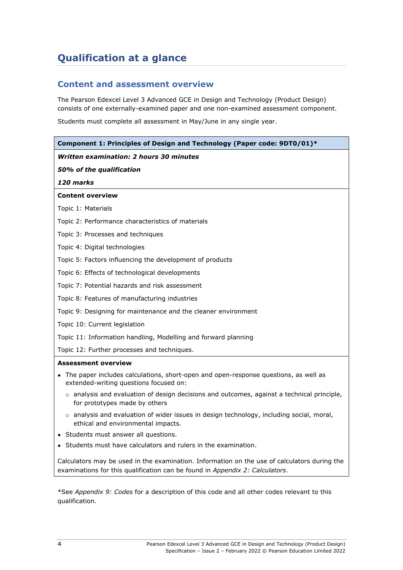# <span id="page-7-0"></span>**Qualification at a glance**

#### **Content and assessment overview**

The Pearson Edexcel Level 3 Advanced GCE in Design and Technology (Product Design) consists of one externally-examined paper and one non-examined assessment component.

Students must complete all assessment in May/June in any single year.

| Component 1: Principles of Design and Technology (Paper code: 9DT0/01)*                                                              |  |  |  |
|--------------------------------------------------------------------------------------------------------------------------------------|--|--|--|
| <b>Written examination: 2 hours 30 minutes</b>                                                                                       |  |  |  |
| 50% of the qualification                                                                                                             |  |  |  |
| 120 marks                                                                                                                            |  |  |  |
| <b>Content overview</b>                                                                                                              |  |  |  |
| Topic 1: Materials                                                                                                                   |  |  |  |
| Topic 2: Performance characteristics of materials                                                                                    |  |  |  |
| Topic 3: Processes and techniques                                                                                                    |  |  |  |
| Topic 4: Digital technologies                                                                                                        |  |  |  |
| Topic 5: Factors influencing the development of products                                                                             |  |  |  |
| Topic 6: Effects of technological developments                                                                                       |  |  |  |
| Topic 7: Potential hazards and risk assessment                                                                                       |  |  |  |
| Topic 8: Features of manufacturing industries                                                                                        |  |  |  |
| Topic 9: Designing for maintenance and the cleaner environment                                                                       |  |  |  |
| Topic 10: Current legislation                                                                                                        |  |  |  |
| Topic 11: Information handling, Modelling and forward planning                                                                       |  |  |  |
| Topic 12: Further processes and techniques.                                                                                          |  |  |  |
| <b>Assessment overview</b>                                                                                                           |  |  |  |
| • The paper includes calculations, short-open and open-response questions, as well as<br>extended-writing questions focused on:      |  |  |  |
| $\circ$ analysis and evaluation of design decisions and outcomes, against a technical principle,<br>for prototypes made by others    |  |  |  |
| $\circ$ analysis and evaluation of wider issues in design technology, including social, moral,<br>ethical and environmental impacts. |  |  |  |
| • Students must answer all questions.                                                                                                |  |  |  |
| • Students must have calculators and rulers in the examination.                                                                      |  |  |  |
| Calculators may be used in the examination. Information on the use of calculators during the                                         |  |  |  |

\*See *Appendix 9: Codes* for a description of this code and all other codes relevant to this qualification.

examinations for this qualification can be found in *Appendix 2: Calculators*.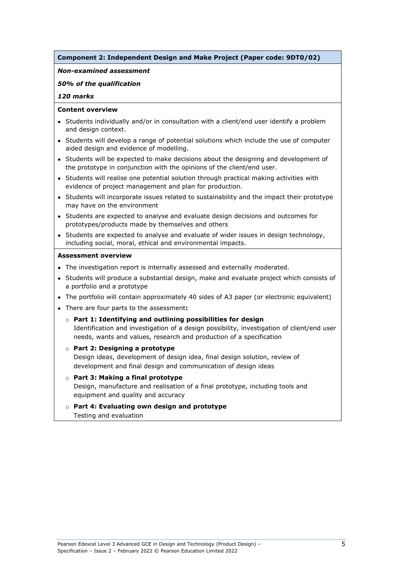#### **Component 2: Independent Design and Make Project (Paper code: 9DT0/02)**

#### *Non-examined assessment*

#### *50% of the qualification*

#### *120 marks*

#### **Content overview**

- Students individually and/or in consultation with a client/end user identify a problem and design context.
- Students will develop a range of potential solutions which include the use of computer aided design and evidence of modelling.
- Students will be expected to make decisions about the designing and development of the prototype in conjunction with the opinions of the client/end user.
- Students will realise one potential solution through practical making activities with evidence of project management and plan for production.
- Students will incorporate issues related to sustainability and the impact their prototype may have on the environment
- Students are expected to analyse and evaluate design decisions and outcomes for prototypes/products made by themselves and others
- Students are expected to analyse and evaluate of wider issues in design technology, including social, moral, ethical and environmental impacts.

#### **Assessment overview**

- The investigation report is internally assessed and externally moderated.
- Students will produce a substantial design, make and evaluate project which consists of a portfolio and a prototype
- The portfolio will contain approximately 40 sides of A3 paper (or electronic equivalent)
- There are four parts to the assessment**:**
	- o **Part 1: Identifying and outlining possibilities for design** Identification and investigation of a design possibility, investigation of client/end user needs, wants and values, research and production of a specification

#### o **Part 2: Designing a prototype**

Design ideas, development of design idea, final design solution, review of development and final design and communication of design ideas

- o **Part 3: Making a final prototype** Design, manufacture and realisation of a final prototype, including tools and equipment and quality and accuracy
- o **Part 4: Evaluating own design and prototype** Testing and evaluation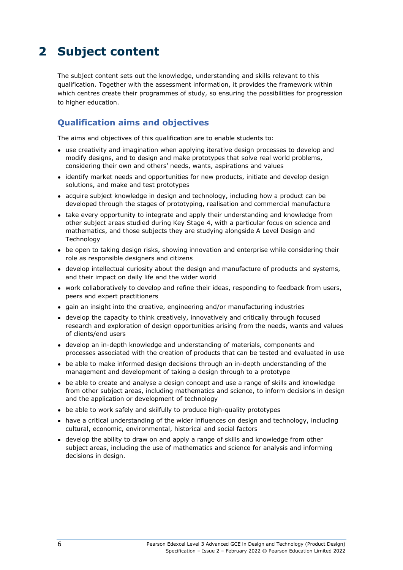# <span id="page-9-0"></span>**2 Subject content**

The subject content sets out the knowledge, understanding and skills relevant to this qualification. Together with the assessment information, it provides the framework within which centres create their programmes of study, so ensuring the possibilities for progression to higher education.

#### **Qualification aims and objectives**

The aims and objectives of this qualification are to enable students to:

- use creativity and imagination when applying iterative design processes to develop and modify designs, and to design and make prototypes that solve real world problems, considering their own and others' needs, wants, aspirations and values
- identify market needs and opportunities for new products, initiate and develop design solutions, and make and test prototypes
- acquire subject knowledge in design and technology, including how a product can be developed through the stages of prototyping, realisation and commercial manufacture
- take every opportunity to integrate and apply their understanding and knowledge from other subject areas studied during Key Stage 4, with a particular focus on science and mathematics, and those subjects they are studying alongside A Level Design and Technology
- be open to taking design risks, showing innovation and enterprise while considering their role as responsible designers and citizens
- develop intellectual curiosity about the design and manufacture of products and systems, and their impact on daily life and the wider world
- work collaboratively to develop and refine their ideas, responding to feedback from users, peers and expert practitioners
- gain an insight into the creative, engineering and/or manufacturing industries
- develop the capacity to think creatively, innovatively and critically through focused research and exploration of design opportunities arising from the needs, wants and values of clients/end users
- develop an in-depth knowledge and understanding of materials, components and processes associated with the creation of products that can be tested and evaluated in use
- be able to make informed design decisions through an in-depth understanding of the management and development of taking a design through to a prototype
- be able to create and analyse a design concept and use a range of skills and knowledge from other subject areas, including mathematics and science, to inform decisions in design and the application or development of technology
- be able to work safely and skilfully to produce high-quality prototypes
- have a critical understanding of the wider influences on design and technology, including cultural, economic, environmental, historical and social factors
- develop the ability to draw on and apply a range of skills and knowledge from other subject areas, including the use of mathematics and science for analysis and informing decisions in design.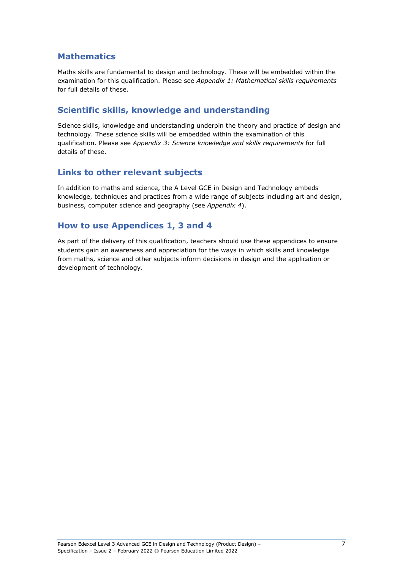#### **Mathematics**

Maths skills are fundamental to design and technology. These will be embedded within the examination for this qualification. Please see *Appendix 1: Mathematical skills requirements* for full details of these.

#### **Scientific skills, knowledge and understanding**

Science skills, knowledge and understanding underpin the theory and practice of design and technology. These science skills will be embedded within the examination of this qualification. Please see *Appendix 3: Science knowledge and skills requirements* for full details of these.

#### **Links to other relevant subjects**

In addition to maths and science, the A Level GCE in Design and Technology embeds knowledge, techniques and practices from a wide range of subjects including art and design, business, computer science and geography (see *Appendix 4*).

#### **How to use Appendices 1, 3 and 4**

As part of the delivery of this qualification, teachers should use these appendices to ensure students gain an awareness and appreciation for the ways in which skills and knowledge from maths, science and other subjects inform decisions in design and the application or development of technology.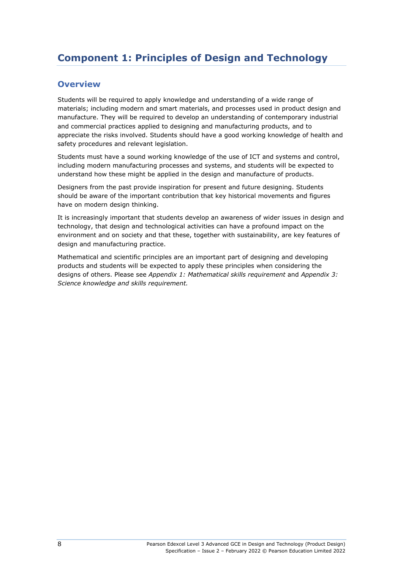# <span id="page-11-0"></span>**Component 1: Principles of Design and Technology**

#### **Overview**

Students will be required to apply knowledge and understanding of a wide range of materials; including modern and smart materials, and processes used in product design and manufacture. They will be required to develop an understanding of contemporary industrial and commercial practices applied to designing and manufacturing products, and to appreciate the risks involved. Students should have a good working knowledge of health and safety procedures and relevant legislation.

Students must have a sound working knowledge of the use of ICT and systems and control, including modern manufacturing processes and systems, and students will be expected to understand how these might be applied in the design and manufacture of products.

Designers from the past provide inspiration for present and future designing. Students should be aware of the important contribution that key historical movements and figures have on modern design thinking.

It is increasingly important that students develop an awareness of wider issues in design and technology, that design and technological activities can have a profound impact on the environment and on society and that these, together with sustainability, are key features of design and manufacturing practice.

Mathematical and scientific principles are an important part of designing and developing products and students will be expected to apply these principles when considering the designs of others. Please see *Appendix 1: Mathematical skills requirement* and *Appendix 3: Science knowledge and skills requirement.*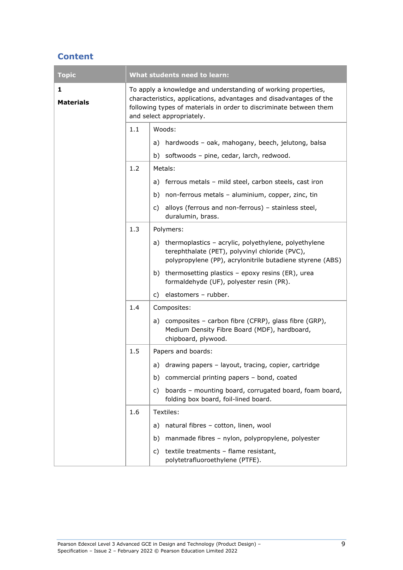#### **Content**

| <b>Topic</b>          |                                                                                                                                                                                                                                        | <b>What students need to learn:</b>                                                                                                                                    |  |
|-----------------------|----------------------------------------------------------------------------------------------------------------------------------------------------------------------------------------------------------------------------------------|------------------------------------------------------------------------------------------------------------------------------------------------------------------------|--|
| 1<br><b>Materials</b> | To apply a knowledge and understanding of working properties,<br>characteristics, applications, advantages and disadvantages of the<br>following types of materials in order to discriminate between them<br>and select appropriately. |                                                                                                                                                                        |  |
|                       | 1.1                                                                                                                                                                                                                                    | Woods:                                                                                                                                                                 |  |
|                       |                                                                                                                                                                                                                                        | hardwoods - oak, mahogany, beech, jelutong, balsa<br>a)                                                                                                                |  |
|                       |                                                                                                                                                                                                                                        | softwoods - pine, cedar, larch, redwood.<br>b)                                                                                                                         |  |
|                       | 1.2                                                                                                                                                                                                                                    | Metals:                                                                                                                                                                |  |
|                       |                                                                                                                                                                                                                                        | a) ferrous metals - mild steel, carbon steels, cast iron                                                                                                               |  |
|                       |                                                                                                                                                                                                                                        | non-ferrous metals - aluminium, copper, zinc, tin<br>b)                                                                                                                |  |
|                       |                                                                                                                                                                                                                                        | alloys (ferrous and non-ferrous) - stainless steel,<br>C)<br>duralumin, brass.                                                                                         |  |
|                       | 1.3                                                                                                                                                                                                                                    | Polymers:                                                                                                                                                              |  |
|                       |                                                                                                                                                                                                                                        | a) thermoplastics - acrylic, polyethylene, polyethylene<br>terephthalate (PET), polyvinyl chloride (PVC),<br>polypropylene (PP), acrylonitrile butadiene styrene (ABS) |  |
|                       |                                                                                                                                                                                                                                        | b) thermosetting plastics $-$ epoxy resins (ER), urea<br>formaldehyde (UF), polyester resin (PR).                                                                      |  |
|                       |                                                                                                                                                                                                                                        | elastomers - rubber.<br>C)                                                                                                                                             |  |
|                       | 1.4                                                                                                                                                                                                                                    | Composites:                                                                                                                                                            |  |
|                       |                                                                                                                                                                                                                                        | a) composites - carbon fibre (CFRP), glass fibre (GRP),<br>Medium Density Fibre Board (MDF), hardboard,<br>chipboard, plywood.                                         |  |
|                       | 1.5                                                                                                                                                                                                                                    | Papers and boards:                                                                                                                                                     |  |
|                       |                                                                                                                                                                                                                                        | drawing papers - layout, tracing, copier, cartridge<br>a)                                                                                                              |  |
|                       |                                                                                                                                                                                                                                        | commercial printing papers - bond, coated<br>b)                                                                                                                        |  |
|                       |                                                                                                                                                                                                                                        | boards - mounting board, corrugated board, foam board,<br>C)<br>folding box board, foil-lined board.                                                                   |  |
|                       | 1.6                                                                                                                                                                                                                                    | Textiles:                                                                                                                                                              |  |
|                       |                                                                                                                                                                                                                                        | natural fibres - cotton, linen, wool<br>a)                                                                                                                             |  |
|                       |                                                                                                                                                                                                                                        | manmade fibres - nylon, polypropylene, polyester<br>b)                                                                                                                 |  |
|                       |                                                                                                                                                                                                                                        | textile treatments - flame resistant,<br>C)<br>polytetrafluoroethylene (PTFE).                                                                                         |  |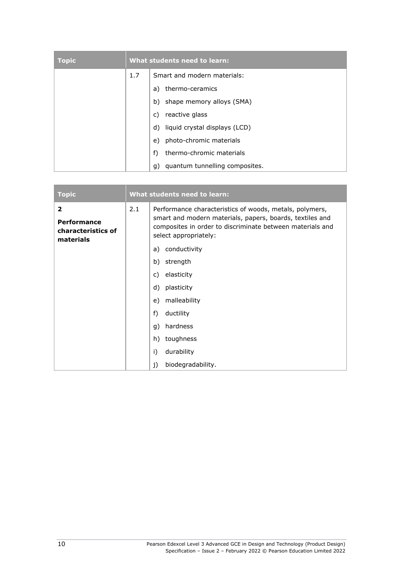| Topic | What students need to learn: |                                      |  |
|-------|------------------------------|--------------------------------------|--|
|       | 1.7                          | Smart and modern materials:          |  |
|       |                              | thermo-ceramics<br>a)                |  |
|       |                              | shape memory alloys (SMA)<br>b)      |  |
|       |                              | reactive glass<br>C)                 |  |
|       |                              | liquid crystal displays (LCD)<br>d)  |  |
|       |                              | photo-chromic materials<br>e)        |  |
|       |                              | thermo-chromic materials<br>f)       |  |
|       |                              | quantum tunnelling composites.<br>q) |  |

| <b>Topic</b>                                                            | What students need to learn: |                                                                                                                                                                                                           |
|-------------------------------------------------------------------------|------------------------------|-----------------------------------------------------------------------------------------------------------------------------------------------------------------------------------------------------------|
| $\overline{2}$<br><b>Performance</b><br>characteristics of<br>materials | 2.1                          | Performance characteristics of woods, metals, polymers,<br>smart and modern materials, papers, boards, textiles and<br>composites in order to discriminate between materials and<br>select appropriately: |
|                                                                         |                              | a) conductivity                                                                                                                                                                                           |
|                                                                         |                              | strength<br>b)                                                                                                                                                                                            |
|                                                                         |                              | elasticity<br>C)                                                                                                                                                                                          |
|                                                                         |                              | d)<br>plasticity                                                                                                                                                                                          |
|                                                                         |                              | malleability<br>e)                                                                                                                                                                                        |
|                                                                         |                              | $f$ )<br>ductility                                                                                                                                                                                        |
|                                                                         |                              | hardness<br>g)                                                                                                                                                                                            |
|                                                                         |                              | toughness<br>h)                                                                                                                                                                                           |
|                                                                         |                              | durability<br>i)                                                                                                                                                                                          |
|                                                                         |                              | biodegradability.<br>j)                                                                                                                                                                                   |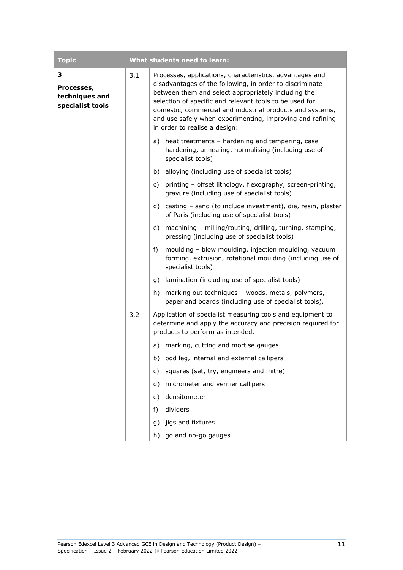| <b>Topic</b>                                          |     | What students need to learn:                                                                                                                                                                                                                                                                                                                                                                      |
|-------------------------------------------------------|-----|---------------------------------------------------------------------------------------------------------------------------------------------------------------------------------------------------------------------------------------------------------------------------------------------------------------------------------------------------------------------------------------------------|
| З<br>Processes,<br>techniques and<br>specialist tools | 3.1 | Processes, applications, characteristics, advantages and<br>disadvantages of the following, in order to discriminate<br>between them and select appropriately including the<br>selection of specific and relevant tools to be used for<br>domestic, commercial and industrial products and systems,<br>and use safely when experimenting, improving and refining<br>in order to realise a design: |
|                                                       |     | a) heat treatments - hardening and tempering, case<br>hardening, annealing, normalising (including use of<br>specialist tools)                                                                                                                                                                                                                                                                    |
|                                                       |     | alloying (including use of specialist tools)<br>b)                                                                                                                                                                                                                                                                                                                                                |
|                                                       |     | c)<br>printing - offset lithology, flexography, screen-printing,<br>gravure (including use of specialist tools)                                                                                                                                                                                                                                                                                   |
|                                                       |     | d) casting - sand (to include investment), die, resin, plaster<br>of Paris (including use of specialist tools)                                                                                                                                                                                                                                                                                    |
|                                                       |     | machining - milling/routing, drilling, turning, stamping,<br>e)<br>pressing (including use of specialist tools)                                                                                                                                                                                                                                                                                   |
|                                                       |     | f)<br>moulding - blow moulding, injection moulding, vacuum<br>forming, extrusion, rotational moulding (including use of<br>specialist tools)                                                                                                                                                                                                                                                      |
|                                                       |     | lamination (including use of specialist tools)<br>g)                                                                                                                                                                                                                                                                                                                                              |
|                                                       |     | marking out techniques - woods, metals, polymers,<br>h)<br>paper and boards (including use of specialist tools).                                                                                                                                                                                                                                                                                  |
|                                                       | 3.2 | Application of specialist measuring tools and equipment to<br>determine and apply the accuracy and precision required for<br>products to perform as intended.                                                                                                                                                                                                                                     |
|                                                       |     | marking, cutting and mortise gauges<br>a)                                                                                                                                                                                                                                                                                                                                                         |
|                                                       |     | odd leg, internal and external callipers<br>b)                                                                                                                                                                                                                                                                                                                                                    |
|                                                       |     | squares (set, try, engineers and mitre)<br>c)                                                                                                                                                                                                                                                                                                                                                     |
|                                                       |     | micrometer and vernier callipers<br>d)                                                                                                                                                                                                                                                                                                                                                            |
|                                                       |     | densitometer<br>e)                                                                                                                                                                                                                                                                                                                                                                                |
|                                                       |     | dividers<br>f)                                                                                                                                                                                                                                                                                                                                                                                    |
|                                                       |     | jigs and fixtures<br>g)                                                                                                                                                                                                                                                                                                                                                                           |
|                                                       |     | go and no-go gauges<br>h)                                                                                                                                                                                                                                                                                                                                                                         |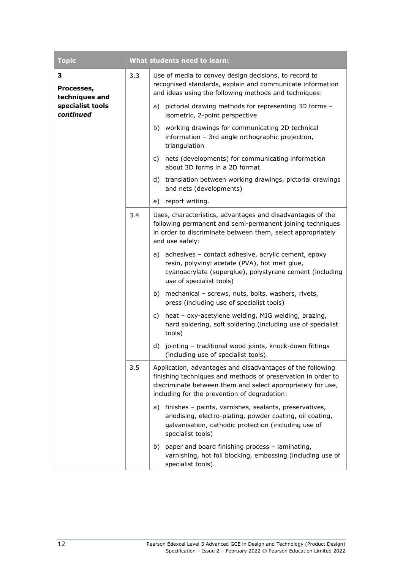| <b>Topic</b>                      |     | What students need to learn:                                                                                                                                                                                                              |
|-----------------------------------|-----|-------------------------------------------------------------------------------------------------------------------------------------------------------------------------------------------------------------------------------------------|
| 3<br>Processes,<br>techniques and | 3.3 | Use of media to convey design decisions, to record to<br>recognised standards, explain and communicate information<br>and ideas using the following methods and techniques:                                                               |
| specialist tools<br>continued     |     | pictorial drawing methods for representing 3D forms -<br>a)<br>isometric, 2-point perspective                                                                                                                                             |
|                                   |     | b) working drawings for communicating 2D technical<br>information - 3rd angle orthographic projection,<br>triangulation                                                                                                                   |
|                                   |     | c) nets (developments) for communicating information<br>about 3D forms in a 2D format                                                                                                                                                     |
|                                   |     | d) translation between working drawings, pictorial drawings<br>and nets (developments)                                                                                                                                                    |
|                                   |     | e)<br>report writing.                                                                                                                                                                                                                     |
|                                   | 3.4 | Uses, characteristics, advantages and disadvantages of the<br>following permanent and semi-permanent joining techniques<br>in order to discriminate between them, select appropriately<br>and use safely:                                 |
|                                   |     | a) adhesives - contact adhesive, acrylic cement, epoxy<br>resin, polyvinyl acetate (PVA), hot melt glue,<br>cyanoacrylate (superglue), polystyrene cement (including<br>use of specialist tools)                                          |
|                                   |     | b) mechanical - screws, nuts, bolts, washers, rivets,<br>press (including use of specialist tools)                                                                                                                                        |
|                                   |     | heat - oxy-acetylene welding, MIG welding, brazing,<br>C)<br>hard soldering, soft soldering (including use of specialist<br>tools)                                                                                                        |
|                                   |     | jointing - traditional wood joints, knock-down fittings<br>d)<br>(including use of specialist tools).                                                                                                                                     |
|                                   | 3.5 | Application, advantages and disadvantages of the following<br>finishing techniques and methods of preservation in order to<br>discriminate between them and select appropriately for use,<br>including for the prevention of degradation: |
|                                   |     | finishes - paints, varnishes, sealants, preservatives,<br>a)<br>anodising, electro-plating, powder coating, oil coating,<br>galvanisation, cathodic protection (including use of<br>specialist tools)                                     |
|                                   |     | b) paper and board finishing process - laminating,<br>varnishing, hot foil blocking, embossing (including use of<br>specialist tools).                                                                                                    |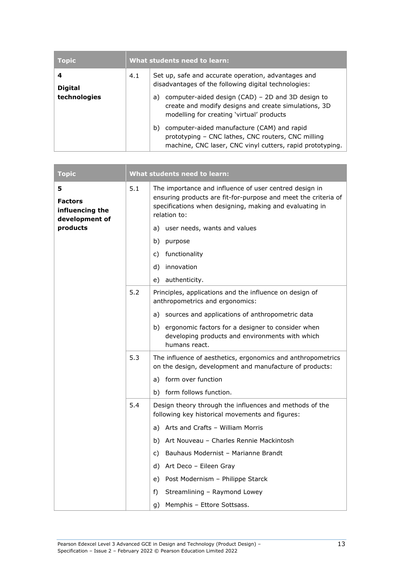| Topic               | What students need to learn: |                                                                                                                                                                     |
|---------------------|------------------------------|---------------------------------------------------------------------------------------------------------------------------------------------------------------------|
| 4<br><b>Digital</b> | 4.1                          | Set up, safe and accurate operation, advantages and<br>disadvantages of the following digital technologies:                                                         |
| technologies        |                              | computer-aided design (CAD) - 2D and 3D design to<br>a)<br>create and modify designs and create simulations, 3D<br>modelling for creating 'virtual' products        |
|                     |                              | computer-aided manufacture (CAM) and rapid<br>b)<br>prototyping - CNC lathes, CNC routers, CNC milling<br>machine, CNC laser, CNC vinyl cutters, rapid prototyping. |

| <b>Topic</b>                                             |     | What students need to learn:                                                                                                                                                                        |
|----------------------------------------------------------|-----|-----------------------------------------------------------------------------------------------------------------------------------------------------------------------------------------------------|
| 5<br><b>Factors</b><br>influencing the<br>development of | 5.1 | The importance and influence of user centred design in<br>ensuring products are fit-for-purpose and meet the criteria of<br>specifications when designing, making and evaluating in<br>relation to: |
| products                                                 |     | user needs, wants and values<br>a)                                                                                                                                                                  |
|                                                          |     | b)<br>purpose                                                                                                                                                                                       |
|                                                          |     | functionality<br>C)                                                                                                                                                                                 |
|                                                          |     | innovation<br>d)                                                                                                                                                                                    |
|                                                          |     | authenticity.<br>e)                                                                                                                                                                                 |
|                                                          | 5.2 | Principles, applications and the influence on design of<br>anthropometrics and ergonomics:                                                                                                          |
|                                                          |     | a) sources and applications of anthropometric data                                                                                                                                                  |
|                                                          |     | b) ergonomic factors for a designer to consider when<br>developing products and environments with which<br>humans react.                                                                            |
|                                                          | 5.3 | The influence of aesthetics, ergonomics and anthropometrics<br>on the design, development and manufacture of products:                                                                              |
|                                                          |     | form over function<br>a)                                                                                                                                                                            |
|                                                          |     | b) form follows function.                                                                                                                                                                           |
|                                                          | 5.4 | Design theory through the influences and methods of the<br>following key historical movements and figures:                                                                                          |
|                                                          |     | Arts and Crafts - William Morris<br>a)                                                                                                                                                              |
|                                                          |     | b) Art Nouveau - Charles Rennie Mackintosh                                                                                                                                                          |
|                                                          |     | Bauhaus Modernist - Marianne Brandt<br>C)                                                                                                                                                           |
|                                                          |     | d) Art Deco - Eileen Gray                                                                                                                                                                           |
|                                                          |     | Post Modernism - Philippe Starck<br>e)                                                                                                                                                              |
|                                                          |     | f)<br>Streamlining - Raymond Lowey                                                                                                                                                                  |
|                                                          |     | Memphis - Ettore Sottsass.<br>g)                                                                                                                                                                    |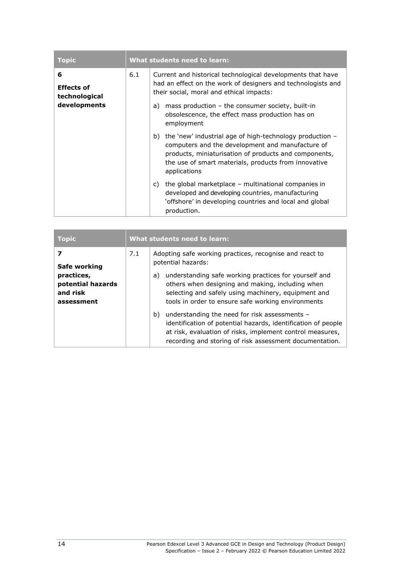| <b>Topic</b>                            | What students need to learn: |                                                                                                                                                                                                                                                       |
|-----------------------------------------|------------------------------|-------------------------------------------------------------------------------------------------------------------------------------------------------------------------------------------------------------------------------------------------------|
| 6<br><b>Effects of</b><br>technological | 6.1                          | Current and historical technological developments that have<br>had an effect on the work of designers and technologists and<br>their social, moral and ethical impacts:                                                                               |
| developments                            |                              | mass production $-$ the consumer society, built-in<br>a)<br>obsolescence, the effect mass production has on<br>employment                                                                                                                             |
|                                         |                              | the 'new' industrial age of high-technology production $-$<br>b)<br>computers and the development and manufacture of<br>products, miniaturisation of products and components,<br>the use of smart materials, products from innovative<br>applications |
|                                         |                              | the global marketplace $-$ multinational companies in<br>C)<br>developed and developing countries, manufacturing<br>'offshore' in developing countries and local and global<br>production.                                                            |

| Topic                                                     | What students need to learn: |                                                                                                                                                                                                                                              |
|-----------------------------------------------------------|------------------------------|----------------------------------------------------------------------------------------------------------------------------------------------------------------------------------------------------------------------------------------------|
| Safe working                                              | 7.1                          | Adopting safe working practices, recognise and react to<br>potential hazards:                                                                                                                                                                |
| practices,<br>potential hazards<br>and risk<br>assessment |                              | understanding safe working practices for yourself and<br>a)<br>others when designing and making, including when<br>selecting and safely using machinery, equipment and<br>tools in order to ensure safe working environments                 |
|                                                           |                              | understanding the need for risk assessments -<br>b)<br>identification of potential hazards, identification of people<br>at risk, evaluation of risks, implement control measures,<br>recording and storing of risk assessment documentation. |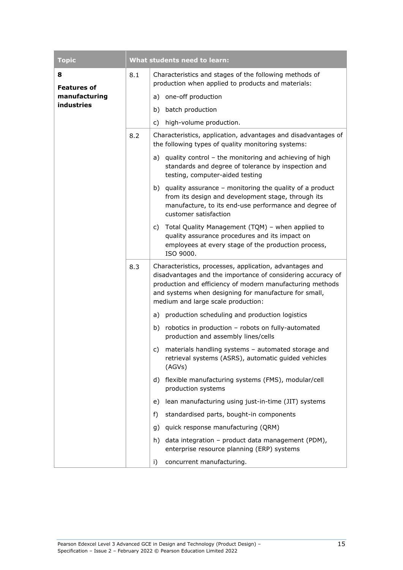| <b>Topic</b>                   |          | <b>What students need to learn:</b>                                                                                                                                                                                                                                                |
|--------------------------------|----------|------------------------------------------------------------------------------------------------------------------------------------------------------------------------------------------------------------------------------------------------------------------------------------|
| 8<br>8.1<br><b>Features of</b> |          | Characteristics and stages of the following methods of<br>production when applied to products and materials:                                                                                                                                                                       |
| manufacturing                  |          | one-off production<br>a)                                                                                                                                                                                                                                                           |
| industries                     |          | batch production<br>b)                                                                                                                                                                                                                                                             |
|                                |          | high-volume production.<br>c)                                                                                                                                                                                                                                                      |
|                                | 8.2      | Characteristics, application, advantages and disadvantages of<br>the following types of quality monitoring systems:                                                                                                                                                                |
|                                |          | a) quality control - the monitoring and achieving of high<br>standards and degree of tolerance by inspection and<br>testing, computer-aided testing                                                                                                                                |
|                                |          | b) quality assurance $-$ monitoring the quality of a product<br>from its design and development stage, through its<br>manufacture, to its end-use performance and degree of<br>customer satisfaction                                                                               |
|                                |          | Total Quality Management (TQM) - when applied to<br>C)<br>quality assurance procedures and its impact on<br>employees at every stage of the production process,<br>ISO 9000.                                                                                                       |
|                                | 8.3      | Characteristics, processes, application, advantages and<br>disadvantages and the importance of considering accuracy of<br>production and efficiency of modern manufacturing methods<br>and systems when designing for manufacture for small,<br>medium and large scale production: |
|                                | a)<br>C) | production scheduling and production logistics                                                                                                                                                                                                                                     |
|                                |          | b) robotics in production - robots on fully-automated<br>production and assembly lines/cells                                                                                                                                                                                       |
|                                |          | materials handling systems - automated storage and<br>retrieval systems (ASRS), automatic guided vehicles<br>(AGVs)                                                                                                                                                                |
|                                |          | flexible manufacturing systems (FMS), modular/cell<br>d)<br>production systems                                                                                                                                                                                                     |
|                                |          | lean manufacturing using just-in-time (JIT) systems<br>e)                                                                                                                                                                                                                          |
|                                |          | standardised parts, bought-in components<br>f)                                                                                                                                                                                                                                     |
|                                |          | quick response manufacturing (QRM)<br>g)                                                                                                                                                                                                                                           |
|                                |          | data integration - product data management (PDM),<br>h)<br>enterprise resource planning (ERP) systems                                                                                                                                                                              |
|                                |          | concurrent manufacturing.<br>i)                                                                                                                                                                                                                                                    |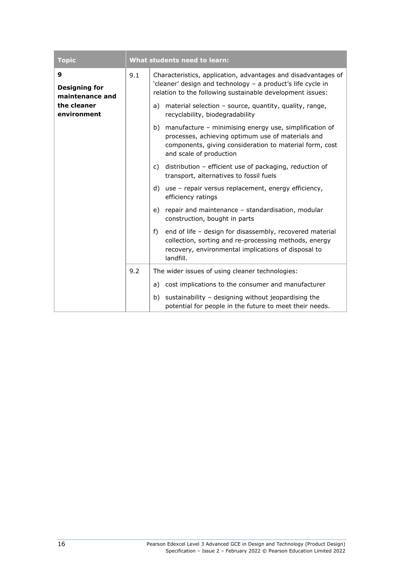| <b>Topic</b>                                 |     | <b>What students need to learn:</b>                                                                                                                                                                     |  |
|----------------------------------------------|-----|---------------------------------------------------------------------------------------------------------------------------------------------------------------------------------------------------------|--|
| 9<br><b>Designing for</b><br>maintenance and | 9.1 | Characteristics, application, advantages and disadvantages of<br>'cleaner' design and technology - a product's life cycle in<br>relation to the following sustainable development issues:               |  |
| the cleaner<br>environment                   |     | material selection - source, quantity, quality, range,<br>a)<br>recyclability, biodegradability                                                                                                         |  |
|                                              |     | manufacture - minimising energy use, simplification of<br>b)<br>processes, achieving optimum use of materials and<br>components, giving consideration to material form, cost<br>and scale of production |  |
|                                              |     | distribution - efficient use of packaging, reduction of<br>C)<br>transport, alternatives to fossil fuels                                                                                                |  |
|                                              |     | use - repair versus replacement, energy efficiency,<br>d)<br>efficiency ratings                                                                                                                         |  |
|                                              |     | repair and maintenance - standardisation, modular<br>e)<br>construction, bought in parts                                                                                                                |  |
|                                              |     | f)<br>end of life - design for disassembly, recovered material<br>collection, sorting and re-processing methods, energy<br>recovery, environmental implications of disposal to<br>landfill.             |  |
| 9.2<br>a)                                    |     | The wider issues of using cleaner technologies:                                                                                                                                                         |  |
|                                              |     | cost implications to the consumer and manufacturer                                                                                                                                                      |  |
|                                              |     | sustainability - designing without jeopardising the<br>b)<br>potential for people in the future to meet their needs.                                                                                    |  |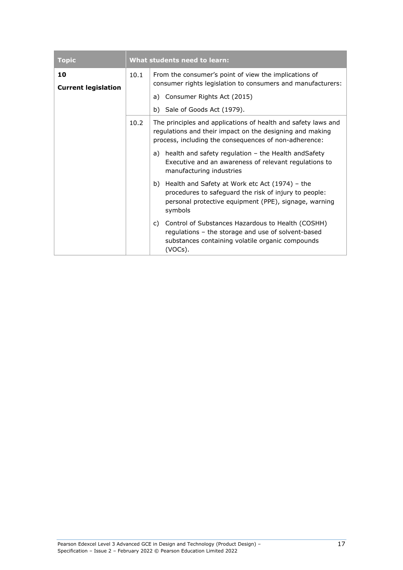| <b>Topic</b>                             | What students need to learn: |                                                                                                                                                                                    |
|------------------------------------------|------------------------------|------------------------------------------------------------------------------------------------------------------------------------------------------------------------------------|
| 10<br>10.1<br><b>Current legislation</b> |                              | From the consumer's point of view the implications of<br>consumer rights legislation to consumers and manufacturers:                                                               |
|                                          |                              | Consumer Rights Act (2015)<br>a)                                                                                                                                                   |
|                                          |                              | b) Sale of Goods Act (1979).                                                                                                                                                       |
|                                          | 10.2                         | The principles and applications of health and safety laws and<br>regulations and their impact on the designing and making<br>process, including the consequences of non-adherence: |
|                                          |                              | health and safety regulation - the Health and Safety<br>a)<br>Executive and an awareness of relevant regulations to<br>manufacturing industries                                    |
|                                          |                              | Health and Safety at Work etc Act (1974) - the<br>b)<br>procedures to safeguard the risk of injury to people:<br>personal protective equipment (PPE), signage, warning<br>symbols  |
|                                          |                              | Control of Substances Hazardous to Health (COSHH)<br>C)<br>regulations - the storage and use of solvent-based<br>substances containing volatile organic compounds<br>(VOCs).       |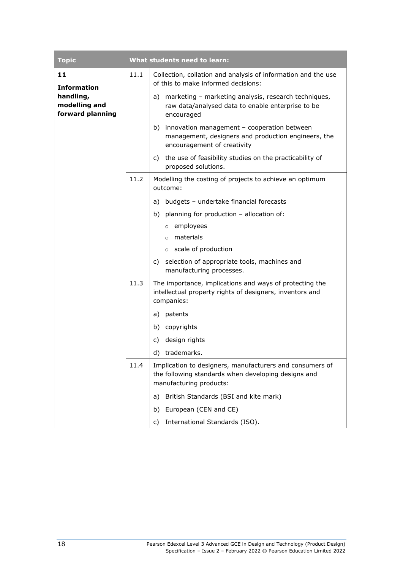| <b>Topic</b>                                   |      | What students need to learn:                                                                                                               |  |
|------------------------------------------------|------|--------------------------------------------------------------------------------------------------------------------------------------------|--|
| 11<br><b>Information</b>                       | 11.1 | Collection, collation and analysis of information and the use<br>of this to make informed decisions:                                       |  |
| handling,<br>modelling and<br>forward planning |      | marketing - marketing analysis, research techniques,<br>a)<br>raw data/analysed data to enable enterprise to be<br>encouraged              |  |
|                                                |      | b)<br>innovation management - cooperation between<br>management, designers and production engineers, the<br>encouragement of creativity    |  |
|                                                |      | the use of feasibility studies on the practicability of<br>C)<br>proposed solutions.                                                       |  |
|                                                | 11.2 | Modelling the costing of projects to achieve an optimum<br>outcome:                                                                        |  |
|                                                |      | budgets - undertake financial forecasts<br>a)                                                                                              |  |
|                                                |      | b) planning for production - allocation of:                                                                                                |  |
|                                                |      | o employees                                                                                                                                |  |
|                                                |      | $\circ$ materials                                                                                                                          |  |
|                                                |      | o scale of production                                                                                                                      |  |
|                                                |      | selection of appropriate tools, machines and<br>C)<br>manufacturing processes.                                                             |  |
|                                                | 11.3 | The importance, implications and ways of protecting the<br>intellectual property rights of designers, inventors and<br>companies:          |  |
|                                                |      | patents<br>a)                                                                                                                              |  |
|                                                |      | b) copyrights                                                                                                                              |  |
|                                                |      | design rights<br>C)                                                                                                                        |  |
|                                                |      | d) trademarks.                                                                                                                             |  |
|                                                | 11.4 | Implication to designers, manufacturers and consumers of<br>the following standards when developing designs and<br>manufacturing products: |  |
|                                                |      | British Standards (BSI and kite mark)<br>a)                                                                                                |  |
|                                                |      | European (CEN and CE)<br>b)                                                                                                                |  |
|                                                |      | International Standards (ISO).<br>c)                                                                                                       |  |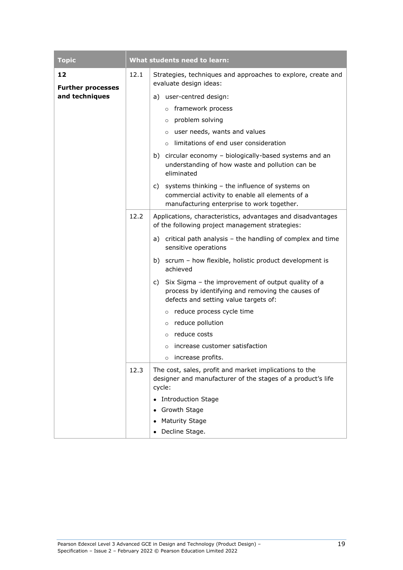| <b>Topic</b>                   |      | What students need to learn:                                                                                                                           |  |
|--------------------------------|------|--------------------------------------------------------------------------------------------------------------------------------------------------------|--|
| 12<br><b>Further processes</b> | 12.1 | Strategies, techniques and approaches to explore, create and<br>evaluate design ideas:                                                                 |  |
| and techniques                 |      | user-centred design:<br>a)                                                                                                                             |  |
|                                |      | o framework process                                                                                                                                    |  |
|                                |      | o problem solving                                                                                                                                      |  |
|                                |      | $\circ$ user needs, wants and values                                                                                                                   |  |
|                                |      | $\circ$ limitations of end user consideration                                                                                                          |  |
|                                |      | b) circular economy - biologically-based systems and an<br>understanding of how waste and pollution can be<br>eliminated                               |  |
|                                |      | c) systems thinking - the influence of systems on<br>commercial activity to enable all elements of a<br>manufacturing enterprise to work together.     |  |
|                                | 12.2 | Applications, characteristics, advantages and disadvantages<br>of the following project management strategies:                                         |  |
|                                |      | a) critical path analysis $-$ the handling of complex and time<br>sensitive operations                                                                 |  |
|                                |      | b) scrum - how flexible, holistic product development is<br>achieved                                                                                   |  |
|                                |      | Six Sigma - the improvement of output quality of a<br>C)<br>process by identifying and removing the causes of<br>defects and setting value targets of: |  |
|                                |      | reduce process cycle time<br>$\circ$                                                                                                                   |  |
|                                |      | o reduce pollution                                                                                                                                     |  |
|                                |      | $\circ$ reduce costs                                                                                                                                   |  |
|                                |      | increase customer satisfaction<br>$\circ$                                                                                                              |  |
|                                |      | increase profits.<br>$\circ$                                                                                                                           |  |
|                                | 12.3 | The cost, sales, profit and market implications to the<br>designer and manufacturer of the stages of a product's life<br>cycle:                        |  |
|                                |      | <b>Introduction Stage</b>                                                                                                                              |  |
|                                |      | Growth Stage                                                                                                                                           |  |
|                                |      | <b>Maturity Stage</b>                                                                                                                                  |  |
|                                |      | Decline Stage.                                                                                                                                         |  |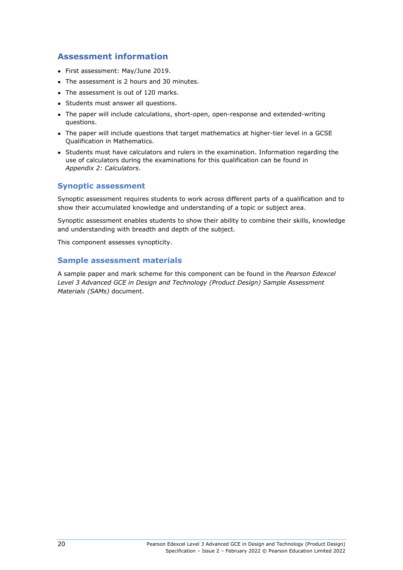#### **Assessment information**

- First assessment: May/June 2019.
- The assessment is 2 hours and 30 minutes.
- The assessment is out of 120 marks.
- Students must answer all questions.
- The paper will include calculations, short-open, open-response and extended-writing questions.
- The paper will include questions that target mathematics at higher-tier level in a GCSE Qualification in Mathematics.
- Students must have calculators and rulers in the examination. Information regarding the use of calculators during the examinations for this qualification can be found in *Appendix 2: Calculators*.

#### **Synoptic assessment**

Synoptic assessment requires students to work across different parts of a qualification and to show their accumulated knowledge and understanding of a topic or subject area.

Synoptic assessment enables students to show their ability to combine their skills, knowledge and understanding with breadth and depth of the subject.

This component assesses synopticity.

#### **Sample assessment materials**

A sample paper and mark scheme for this component can be found in the *Pearson Edexcel Level 3 Advanced GCE in Design and Technology (Product Design) Sample Assessment Materials (SAMs)* document.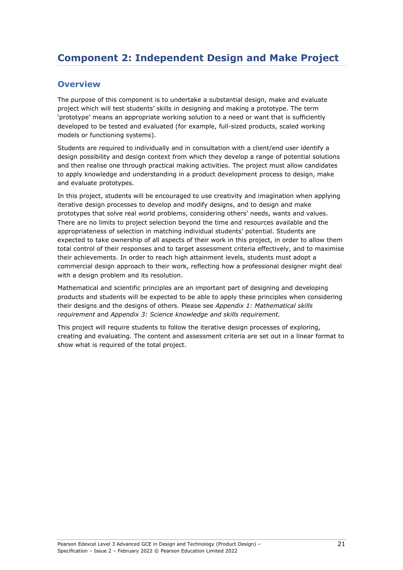#### <span id="page-24-0"></span>**Overview**

The purpose of this component is to undertake a substantial design, make and evaluate project which will test students' skills in designing and making a prototype. The term 'prototype' means an appropriate working solution to a need or want that is sufficiently developed to be tested and evaluated (for example, full-sized products, scaled working models or functioning systems).

Students are required to individually and in consultation with a client/end user identify a design possibility and design context from which they develop a range of potential solutions and then realise one through practical making activities. The project must allow candidates to apply knowledge and understanding in a product development process to design, make and evaluate prototypes.

In this project, students will be encouraged to use creativity and imagination when applying iterative design processes to develop and modify designs, and to design and make prototypes that solve real world problems, considering others' needs, wants and values. There are no limits to project selection beyond the time and resources available and the appropriateness of selection in matching individual students' potential. Students are expected to take ownership of all aspects of their work in this project, in order to allow them total control of their responses and to target assessment criteria effectively, and to maximise their achievements. In order to reach high attainment levels, students must adopt a commercial design approach to their work, reflecting how a professional designer might deal with a design problem and its resolution.

Mathematical and scientific principles are an important part of designing and developing products and students will be expected to be able to apply these principles when considering their designs and the designs of others. Please see *Appendix 1: Mathematical skills requirement* and *Appendix 3: Science knowledge and skills requirement.*

This project will require students to follow the iterative design processes of exploring, creating and evaluating. The content and assessment criteria are set out in a linear format to show what is required of the total project.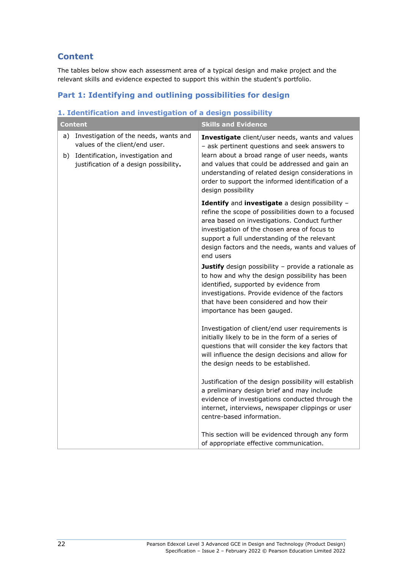#### **Content**

The tables below show each assessment area of a typical design and make project and the relevant skills and evidence expected to support this within the student's portfolio.

#### **Part 1: Identifying and outlining possibilities for design**

#### **1. Identification and investigation of a design possibility Content Skills and Evidence** a) Investigation of the needs, wants and values of the client/end user. b) Identification, investigation and justification of a design possibility**. Investigate** client/user needs, wants and values – ask pertinent questions and seek answers to learn about a broad range of user needs, wants and values that could be addressed and gain an understanding of related design considerations in order to support the informed identification of a design possibility **Identify** and **investigate** a design possibility – refine the scope of possibilities down to a focused area based on investigations. Conduct further investigation of the chosen area of focus to support a full understanding of the relevant design factors and the needs, wants and values of end users **Justify** design possibility - provide a rationale as to how and why the design possibility has been identified, supported by evidence from investigations. Provide evidence of the factors that have been considered and how their importance has been gauged. Investigation of client/end user requirements is initially likely to be in the form of a series of questions that will consider the key factors that will influence the design decisions and allow for the design needs to be established. Justification of the design possibility will establish a preliminary design brief and may include evidence of investigations conducted through the internet, interviews, newspaper clippings or user centre-based information. This section will be evidenced through any form of appropriate effective communication.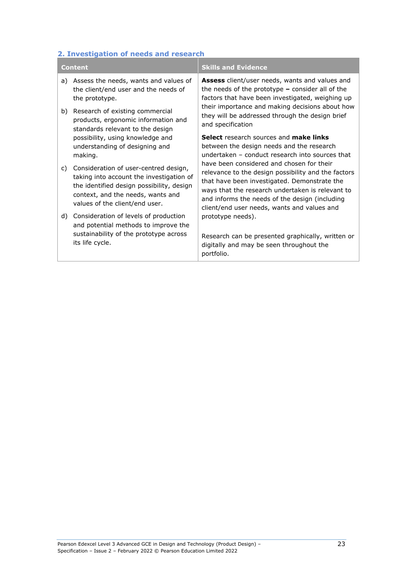## **2. Investigation of needs and research**

| <b>Content</b> |                                                                                                                                                                                                       | <b>Skills and Evidence</b>                                                                                                                                                                                                                                                                            |
|----------------|-------------------------------------------------------------------------------------------------------------------------------------------------------------------------------------------------------|-------------------------------------------------------------------------------------------------------------------------------------------------------------------------------------------------------------------------------------------------------------------------------------------------------|
| a)             | Assess the needs, wants and values of<br>the client/end user and the needs of<br>the prototype.                                                                                                       | Assess client/user needs, wants and values and<br>the needs of the prototype $-$ consider all of the<br>factors that have been investigated, weighing up<br>their importance and making decisions about how<br>they will be addressed through the design brief<br>and specification                   |
| b)             | Research of existing commercial<br>products, ergonomic information and<br>standards relevant to the design                                                                                            |                                                                                                                                                                                                                                                                                                       |
|                | possibility, using knowledge and<br>understanding of designing and<br>making.                                                                                                                         | <b>Select</b> research sources and <b>make links</b><br>between the design needs and the research<br>undertaken – conduct research into sources that                                                                                                                                                  |
| C)             | Consideration of user-centred design,<br>taking into account the investigation of<br>the identified design possibility, design<br>context, and the needs, wants and<br>values of the client/end user. | have been considered and chosen for their<br>relevance to the design possibility and the factors<br>that have been investigated. Demonstrate the<br>ways that the research undertaken is relevant to<br>and informs the needs of the design (including<br>client/end user needs, wants and values and |
| d)             | Consideration of levels of production<br>and potential methods to improve the                                                                                                                         | prototype needs).                                                                                                                                                                                                                                                                                     |
|                | sustainability of the prototype across<br>its life cycle.                                                                                                                                             | Research can be presented graphically, written or<br>digitally and may be seen throughout the<br>portfolio.                                                                                                                                                                                           |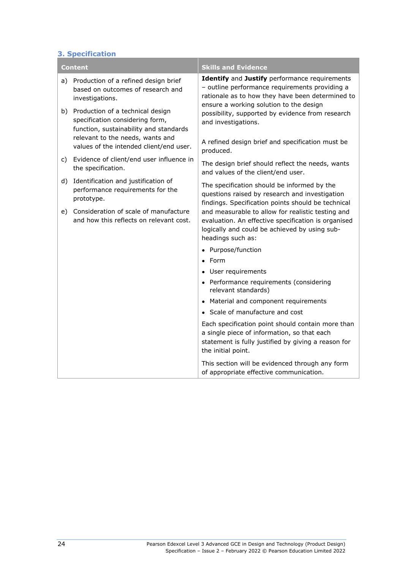#### **3. Specification**

|    | <b>Content</b>                                                                                                | <b>Skills and Evidence</b>                                                                                                                                                                     |
|----|---------------------------------------------------------------------------------------------------------------|------------------------------------------------------------------------------------------------------------------------------------------------------------------------------------------------|
| a) | Production of a refined design brief<br>based on outcomes of research and<br>investigations.                  | Identify and Justify performance requirements<br>- outline performance requirements providing a<br>rationale as to how they have been determined to<br>ensure a working solution to the design |
| b) | Production of a technical design<br>specification considering form,<br>function, sustainability and standards | possibility, supported by evidence from research<br>and investigations.                                                                                                                        |
|    | relevant to the needs, wants and<br>values of the intended client/end user.                                   | A refined design brief and specification must be<br>produced.                                                                                                                                  |
| C) | Evidence of client/end user influence in<br>the specification.                                                | The design brief should reflect the needs, wants<br>and values of the client/end user.                                                                                                         |
| d) | Identification and justification of<br>performance requirements for the<br>prototype.                         | The specification should be informed by the<br>questions raised by research and investigation<br>findings. Specification points should be technical                                            |
| e) | Consideration of scale of manufacture<br>and how this reflects on relevant cost.                              | and measurable to allow for realistic testing and<br>evaluation. An effective specification is organised<br>logically and could be achieved by using sub-<br>headings such as:                 |
|    |                                                                                                               | • Purpose/function                                                                                                                                                                             |
|    |                                                                                                               | $\bullet$ Form                                                                                                                                                                                 |
|    |                                                                                                               | • User requirements                                                                                                                                                                            |
|    |                                                                                                               | • Performance requirements (considering<br>relevant standards)                                                                                                                                 |
|    |                                                                                                               | • Material and component requirements                                                                                                                                                          |
|    |                                                                                                               | • Scale of manufacture and cost                                                                                                                                                                |
|    |                                                                                                               | Each specification point should contain more than<br>a single piece of information, so that each<br>statement is fully justified by giving a reason for<br>the initial point.                  |
|    |                                                                                                               | This section will be evidenced through any form<br>of appropriate effective communication.                                                                                                     |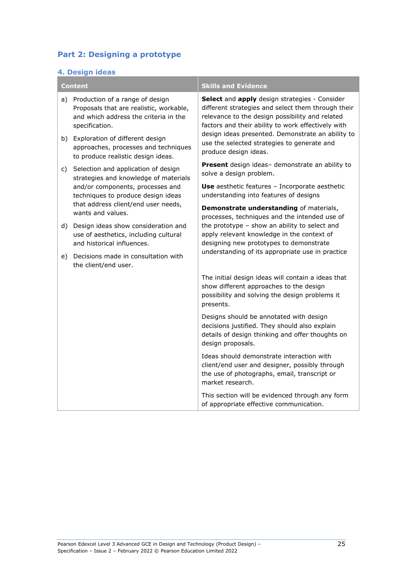#### **Part 2: Designing a prototype**

#### **4. Design ideas**

| <b>Content</b> |                                                                                                                                       | <b>Skills and Evidence</b>                                                                                                                                                                                                                                                                                                                |
|----------------|---------------------------------------------------------------------------------------------------------------------------------------|-------------------------------------------------------------------------------------------------------------------------------------------------------------------------------------------------------------------------------------------------------------------------------------------------------------------------------------------|
| a)             | Production of a range of design<br>Proposals that are realistic, workable,<br>and which address the criteria in the<br>specification. | Select and apply design strategies - Consider<br>different strategies and select them through their<br>relevance to the design possibility and related<br>factors and their ability to work effectively with<br>design ideas presented. Demonstrate an ability to<br>use the selected strategies to generate and<br>produce design ideas. |
|                | b) Exploration of different design<br>approaches, processes and techniques<br>to produce realistic design ideas.                      |                                                                                                                                                                                                                                                                                                                                           |
| C)             | Selection and application of design<br>strategies and knowledge of materials                                                          | Present design ideas- demonstrate an ability to<br>solve a design problem.                                                                                                                                                                                                                                                                |
|                | and/or components, processes and<br>techniques to produce design ideas                                                                | <b>Use</b> aesthetic features - Incorporate aesthetic<br>understanding into features of designs                                                                                                                                                                                                                                           |
|                | that address client/end user needs,<br>wants and values.                                                                              | Demonstrate understanding of materials,<br>processes, techniques and the intended use of                                                                                                                                                                                                                                                  |
| d)             | Design ideas show consideration and<br>use of aesthetics, including cultural<br>and historical influences.                            | the prototype - show an ability to select and<br>apply relevant knowledge in the context of<br>designing new prototypes to demonstrate                                                                                                                                                                                                    |
| e)             | Decisions made in consultation with<br>the client/end user.                                                                           | understanding of its appropriate use in practice                                                                                                                                                                                                                                                                                          |
|                |                                                                                                                                       | The initial design ideas will contain a ideas that<br>show different approaches to the design<br>possibility and solving the design problems it<br>presents.                                                                                                                                                                              |
|                |                                                                                                                                       | Designs should be annotated with design<br>decisions justified. They should also explain<br>details of design thinking and offer thoughts on<br>design proposals.                                                                                                                                                                         |
|                |                                                                                                                                       | Ideas should demonstrate interaction with<br>client/end user and designer, possibly through<br>the use of photographs, email, transcript or<br>market research.                                                                                                                                                                           |
|                |                                                                                                                                       | This section will be evidenced through any form<br>of appropriate effective communication.                                                                                                                                                                                                                                                |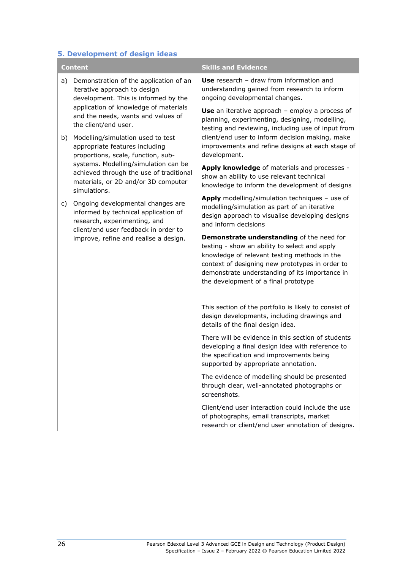#### **5. Development of design ideas**

|    | <b>Content</b>                                                                                                                                                                                                        | <b>Skills and Evidence</b>                                                                                                                                                                                                                                                                |
|----|-----------------------------------------------------------------------------------------------------------------------------------------------------------------------------------------------------------------------|-------------------------------------------------------------------------------------------------------------------------------------------------------------------------------------------------------------------------------------------------------------------------------------------|
| a) | Demonstration of the application of an<br>iterative approach to design<br>development. This is informed by the<br>application of knowledge of materials<br>and the needs, wants and values of<br>the client/end user. | Use research $-$ draw from information and<br>understanding gained from research to inform<br>ongoing developmental changes.<br>Use an iterative approach $-$ employ a process of<br>planning, experimenting, designing, modelling,<br>testing and reviewing, including use of input from |
| b) | Modelling/simulation used to test<br>appropriate features including<br>proportions, scale, function, sub-                                                                                                             | client/end user to inform decision making, make<br>improvements and refine designs at each stage of<br>development.                                                                                                                                                                       |
|    | systems. Modelling/simulation can be<br>achieved through the use of traditional<br>materials, or 2D and/or 3D computer<br>simulations.                                                                                | Apply knowledge of materials and processes -<br>show an ability to use relevant technical<br>knowledge to inform the development of designs                                                                                                                                               |
| C) | Ongoing developmental changes are<br>informed by technical application of<br>research, experimenting, and<br>client/end user feedback in order to                                                                     | Apply modelling/simulation techniques - use of<br>modelling/simulation as part of an iterative<br>design approach to visualise developing designs<br>and inform decisions                                                                                                                 |
|    | improve, refine and realise a design.                                                                                                                                                                                 | Demonstrate understanding of the need for<br>testing - show an ability to select and apply<br>knowledge of relevant testing methods in the<br>context of designing new prototypes in order to<br>demonstrate understanding of its importance in<br>the development of a final prototype   |
|    |                                                                                                                                                                                                                       | This section of the portfolio is likely to consist of<br>design developments, including drawings and<br>details of the final design idea.                                                                                                                                                 |
|    |                                                                                                                                                                                                                       | There will be evidence in this section of students<br>developing a final design idea with reference to<br>the specification and improvements being<br>supported by appropriate annotation.                                                                                                |
|    |                                                                                                                                                                                                                       | The evidence of modelling should be presented<br>through clear, well-annotated photographs or<br>screenshots.                                                                                                                                                                             |
|    |                                                                                                                                                                                                                       | Client/end user interaction could include the use<br>of photographs, email transcripts, market<br>research or client/end user annotation of designs.                                                                                                                                      |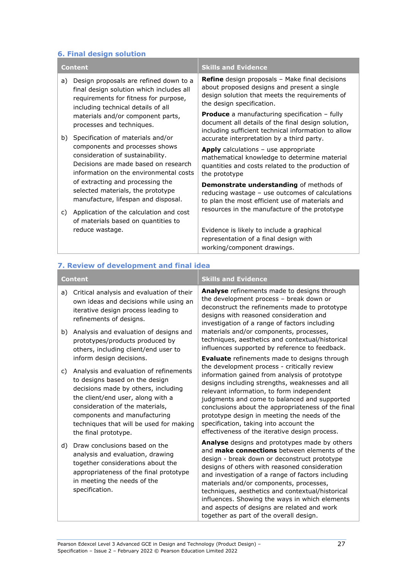#### **6. Final design solution**

| <b>Content</b> |                                                                                                                                                                                                                                    | <b>Skills and Evidence</b>                                                                                                                                                          |
|----------------|------------------------------------------------------------------------------------------------------------------------------------------------------------------------------------------------------------------------------------|-------------------------------------------------------------------------------------------------------------------------------------------------------------------------------------|
| a)             | Design proposals are refined down to a<br>final design solution which includes all<br>requirements for fitness for purpose,<br>including technical details of all                                                                  | <b>Refine</b> design proposals - Make final decisions<br>about proposed designs and present a single<br>design solution that meets the requirements of<br>the design specification. |
|                | materials and/or component parts,<br>processes and techniques.                                                                                                                                                                     | <b>Produce</b> a manufacturing specification $-$ fully<br>document all details of the final design solution,<br>including sufficient technical information to allow                 |
| b)             | Specification of materials and/or<br>components and processes shows                                                                                                                                                                | accurate interpretation by a third party.                                                                                                                                           |
|                | consideration of sustainability.<br>Decisions are made based on research<br>information on the environmental costs<br>of extracting and processing the<br>selected materials, the prototype<br>manufacture, lifespan and disposal. | Apply calculations - use appropriate<br>mathematical knowledge to determine material<br>quantities and costs related to the production of<br>the prototype                          |
|                |                                                                                                                                                                                                                                    | Demonstrate understanding of methods of<br>reducing wastage - use outcomes of calculations<br>to plan the most efficient use of materials and                                       |
| C)             | Application of the calculation and cost<br>of materials based on quantities to                                                                                                                                                     | resources in the manufacture of the prototype                                                                                                                                       |
|                | reduce wastage.                                                                                                                                                                                                                    | Evidence is likely to include a graphical                                                                                                                                           |
|                |                                                                                                                                                                                                                                    | representation of a final design with<br>working/component drawings.                                                                                                                |

| <b>Content</b> |                                                                                                                                                                                                                                                                                                                        | <b>Skills and Evidence</b>                                                                                                                                                                                                                                                                                                                                                                                                                                                                            |
|----------------|------------------------------------------------------------------------------------------------------------------------------------------------------------------------------------------------------------------------------------------------------------------------------------------------------------------------|-------------------------------------------------------------------------------------------------------------------------------------------------------------------------------------------------------------------------------------------------------------------------------------------------------------------------------------------------------------------------------------------------------------------------------------------------------------------------------------------------------|
| a)             | Critical analysis and evaluation of their<br>own ideas and decisions while using an<br>iterative design process leading to<br>refinements of designs.                                                                                                                                                                  | Analyse refinements made to designs through<br>the development process - break down or<br>deconstruct the refinements made to prototype<br>designs with reasoned consideration and<br>investigation of a range of factors including<br>materials and/or components, processes,<br>techniques, aesthetics and contextual/historical<br>influences supported by reference to feedback.                                                                                                                  |
| b)             | Analysis and evaluation of designs and<br>prototypes/products produced by<br>others, including client/end user to                                                                                                                                                                                                      |                                                                                                                                                                                                                                                                                                                                                                                                                                                                                                       |
| C)             | inform design decisions.<br>Analysis and evaluation of refinements<br>to designs based on the design<br>decisions made by others, including<br>the client/end user, along with a<br>consideration of the materials,<br>components and manufacturing<br>techniques that will be used for making<br>the final prototype. | <b>Evaluate</b> refinements made to designs through<br>the development process - critically review<br>information gained from analysis of prototype<br>designs including strengths, weaknesses and all<br>relevant information, to form independent<br>judgments and come to balanced and supported<br>conclusions about the appropriateness of the final<br>prototype design in meeting the needs of the<br>specification, taking into account the<br>effectiveness of the iterative design process. |
| d)             | Draw conclusions based on the<br>analysis and evaluation, drawing<br>together considerations about the<br>appropriateness of the final prototype<br>in meeting the needs of the<br>specification.                                                                                                                      | Analyse designs and prototypes made by others<br>and <b>make connections</b> between elements of the<br>design - break down or deconstruct prototype<br>designs of others with reasoned consideration<br>and investigation of a range of factors including<br>materials and/or components, processes,<br>techniques, aesthetics and contextual/historical<br>influences. Showing the ways in which elements<br>and aspects of designs are related and work<br>together as part of the overall design. |

#### **7. Review of development and final idea**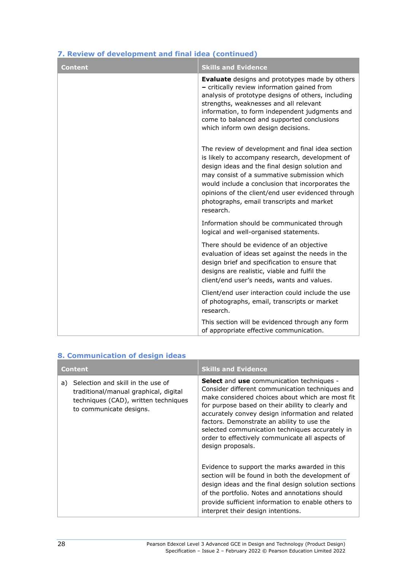| <b>Content</b> | <b>Skills and Evidence</b>                                                                                                                                                                                                                                                                                                                                              |
|----------------|-------------------------------------------------------------------------------------------------------------------------------------------------------------------------------------------------------------------------------------------------------------------------------------------------------------------------------------------------------------------------|
|                | <b>Evaluate</b> designs and prototypes made by others<br>- critically review information gained from<br>analysis of prototype designs of others, including<br>strengths, weaknesses and all relevant<br>information, to form independent judgments and<br>come to balanced and supported conclusions<br>which inform own design decisions.                              |
|                | The review of development and final idea section<br>is likely to accompany research, development of<br>design ideas and the final design solution and<br>may consist of a summative submission which<br>would include a conclusion that incorporates the<br>opinions of the client/end user evidenced through<br>photographs, email transcripts and market<br>research. |
|                | Information should be communicated through<br>logical and well-organised statements.                                                                                                                                                                                                                                                                                    |
|                | There should be evidence of an objective<br>evaluation of ideas set against the needs in the<br>design brief and specification to ensure that<br>designs are realistic, viable and fulfil the<br>client/end user's needs, wants and values.                                                                                                                             |
|                | Client/end user interaction could include the use<br>of photographs, email, transcripts or market<br>research.                                                                                                                                                                                                                                                          |
|                | This section will be evidenced through any form<br>of appropriate effective communication.                                                                                                                                                                                                                                                                              |

#### **7. Review of development and final idea (continued)**

| 8. Communication of design ideas |                                                                                                                                               |                                                                                                                                                                                                                                                                                                                                                                                                                                           |  |  |
|----------------------------------|-----------------------------------------------------------------------------------------------------------------------------------------------|-------------------------------------------------------------------------------------------------------------------------------------------------------------------------------------------------------------------------------------------------------------------------------------------------------------------------------------------------------------------------------------------------------------------------------------------|--|--|
| <b>Content</b>                   |                                                                                                                                               | <b>Skills and Evidence</b>                                                                                                                                                                                                                                                                                                                                                                                                                |  |  |
| a)                               | Selection and skill in the use of<br>traditional/manual graphical, digital<br>techniques (CAD), written techniques<br>to communicate designs. | <b>Select</b> and use communication techniques -<br>Consider different communication techniques and<br>make considered choices about which are most fit<br>for purpose based on their ability to clearly and<br>accurately convey design information and related<br>factors. Demonstrate an ability to use the<br>selected communication techniques accurately in<br>order to effectively communicate all aspects of<br>design proposals. |  |  |
|                                  |                                                                                                                                               | Evidence to support the marks awarded in this<br>section will be found in both the development of<br>design ideas and the final design solution sections<br>of the portfolio. Notes and annotations should<br>provide sufficient information to enable others to<br>interpret their design intentions.                                                                                                                                    |  |  |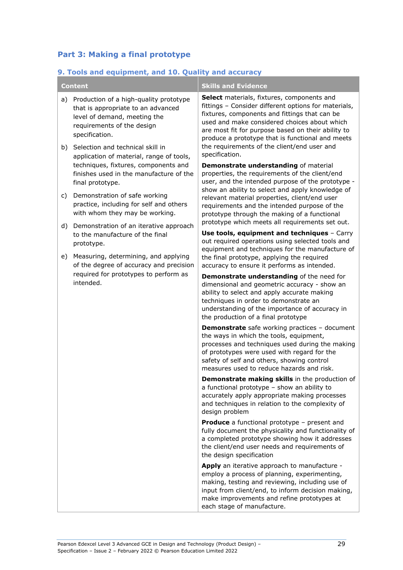#### **Part 3: Making a final prototype**

#### **9. Tools and equipment, and 10. Quality and accuracy**

| <b>Content</b> |                                                                                                                                                                                        | <b>Skills and Evidence</b>                                                                                                                                                                                                                                                                                    |
|----------------|----------------------------------------------------------------------------------------------------------------------------------------------------------------------------------------|---------------------------------------------------------------------------------------------------------------------------------------------------------------------------------------------------------------------------------------------------------------------------------------------------------------|
| a)             | Production of a high-quality prototype<br>that is appropriate to an advanced<br>level of demand, meeting the<br>requirements of the design<br>specification.                           | Select materials, fixtures, components and<br>fittings - Consider different options for materials,<br>fixtures, components and fittings that can be<br>used and make considered choices about which<br>are most fit for purpose based on their ability to<br>produce a prototype that is functional and meets |
|                | b) Selection and technical skill in<br>application of material, range of tools,<br>techniques, fixtures, components and<br>finishes used in the manufacture of the<br>final prototype. | the requirements of the client/end user and<br>specification.<br>Demonstrate understanding of material                                                                                                                                                                                                        |
|                |                                                                                                                                                                                        | properties, the requirements of the client/end<br>user, and the intended purpose of the prototype -                                                                                                                                                                                                           |
| C)             | Demonstration of safe working<br>practice, including for self and others<br>with whom they may be working.                                                                             | show an ability to select and apply knowledge of<br>relevant material properties, client/end user<br>requirements and the intended purpose of the<br>prototype through the making of a functional                                                                                                             |
| d)             | Demonstration of an iterative approach                                                                                                                                                 | prototype which meets all requirements set out.<br>Use tools, equipment and techniques - Carry                                                                                                                                                                                                                |
|                | to the manufacture of the final<br>prototype.                                                                                                                                          | out required operations using selected tools and                                                                                                                                                                                                                                                              |
| e)             | Measuring, determining, and applying<br>of the degree of accuracy and precision<br>required for prototypes to perform as<br>intended.                                                  | equipment and techniques for the manufacture of<br>the final prototype, applying the required                                                                                                                                                                                                                 |
|                |                                                                                                                                                                                        | accuracy to ensure it performs as intended.                                                                                                                                                                                                                                                                   |
|                |                                                                                                                                                                                        | Demonstrate understanding of the need for<br>dimensional and geometric accuracy - show an<br>ability to select and apply accurate making<br>techniques in order to demonstrate an<br>understanding of the importance of accuracy in<br>the production of a final prototype                                    |
|                |                                                                                                                                                                                        | <b>Demonstrate</b> safe working practices - document<br>the ways in which the tools, equipment,<br>processes and techniques used during the making<br>of prototypes were used with regard for the<br>safety of self and others, showing control<br>measures used to reduce hazards and risk.                  |
|                |                                                                                                                                                                                        | Demonstrate making skills in the production of<br>a functional prototype - show an ability to<br>accurately apply appropriate making processes<br>and techniques in relation to the complexity of<br>design problem                                                                                           |
|                |                                                                                                                                                                                        | <b>Produce</b> a functional prototype - present and<br>fully document the physicality and functionality of<br>a completed prototype showing how it addresses<br>the client/end user needs and requirements of<br>the design specification                                                                     |
|                |                                                                                                                                                                                        | Apply an iterative approach to manufacture -<br>employ a process of planning, experimenting,<br>making, testing and reviewing, including use of<br>input from client/end, to inform decision making,<br>make improvements and refine prototypes at<br>each stage of manufacture.                              |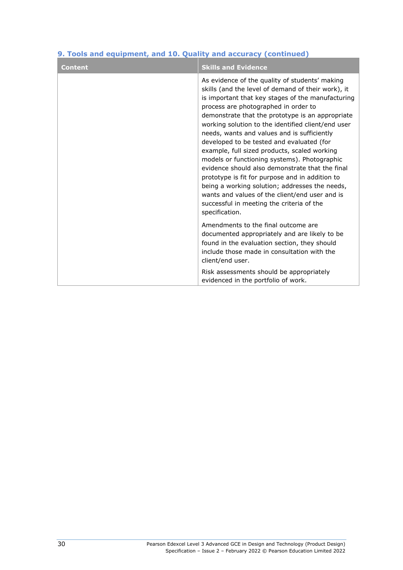| <b>Content</b> | <b>Skills and Evidence</b>                                                                                                                                                                                                                                                                                                                                                                                                                                                                                                                                                                                                                                                                                                                                                       |
|----------------|----------------------------------------------------------------------------------------------------------------------------------------------------------------------------------------------------------------------------------------------------------------------------------------------------------------------------------------------------------------------------------------------------------------------------------------------------------------------------------------------------------------------------------------------------------------------------------------------------------------------------------------------------------------------------------------------------------------------------------------------------------------------------------|
|                | As evidence of the quality of students' making<br>skills (and the level of demand of their work), it<br>is important that key stages of the manufacturing<br>process are photographed in order to<br>demonstrate that the prototype is an appropriate<br>working solution to the identified client/end user<br>needs, wants and values and is sufficiently<br>developed to be tested and evaluated (for<br>example, full sized products, scaled working<br>models or functioning systems). Photographic<br>evidence should also demonstrate that the final<br>prototype is fit for purpose and in addition to<br>being a working solution; addresses the needs,<br>wants and values of the client/end user and is<br>successful in meeting the criteria of the<br>specification. |
|                | Amendments to the final outcome are<br>documented appropriately and are likely to be<br>found in the evaluation section, they should<br>include those made in consultation with the<br>client/end user.                                                                                                                                                                                                                                                                                                                                                                                                                                                                                                                                                                          |
|                | Risk assessments should be appropriately<br>evidenced in the portfolio of work.                                                                                                                                                                                                                                                                                                                                                                                                                                                                                                                                                                                                                                                                                                  |

#### **9. Tools and equipment, and 10. Quality and accuracy (continued)**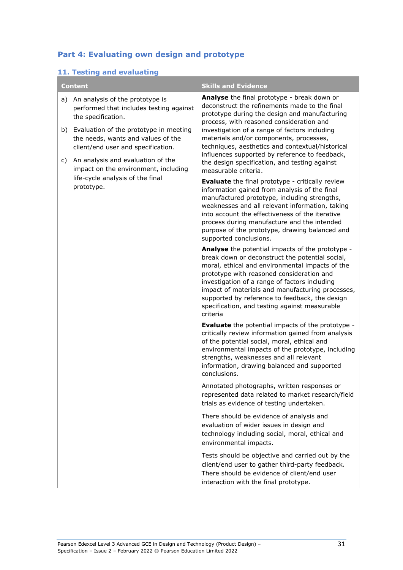#### **Part 4: Evaluating own design and prototype**

#### **11. Testing and evaluating**

| <b>Content</b> |                                                                                                                             | <b>Skills and Evidence</b>                                                                                                                                                                                                                                                                                                                                                                                                                                           |
|----------------|-----------------------------------------------------------------------------------------------------------------------------|----------------------------------------------------------------------------------------------------------------------------------------------------------------------------------------------------------------------------------------------------------------------------------------------------------------------------------------------------------------------------------------------------------------------------------------------------------------------|
| a)             | An analysis of the prototype is<br>performed that includes testing against<br>the specification.                            | Analyse the final prototype - break down or<br>deconstruct the refinements made to the final<br>prototype during the design and manufacturing<br>process, with reasoned consideration and<br>investigation of a range of factors including<br>materials and/or components, processes,<br>techniques, aesthetics and contextual/historical<br>influences supported by reference to feedback,<br>the design specification, and testing against<br>measurable criteria. |
| b)             | Evaluation of the prototype in meeting<br>the needs, wants and values of the<br>client/end user and specification.          |                                                                                                                                                                                                                                                                                                                                                                                                                                                                      |
| C)             | An analysis and evaluation of the<br>impact on the environment, including<br>life-cycle analysis of the final<br>prototype. |                                                                                                                                                                                                                                                                                                                                                                                                                                                                      |
|                |                                                                                                                             | <b>Evaluate</b> the final prototype - critically review<br>information gained from analysis of the final<br>manufactured prototype, including strengths,<br>weaknesses and all relevant information, taking<br>into account the effectiveness of the iterative<br>process during manufacture and the intended<br>purpose of the prototype, drawing balanced and<br>supported conclusions.                                                                            |
|                |                                                                                                                             | Analyse the potential impacts of the prototype -<br>break down or deconstruct the potential social,<br>moral, ethical and environmental impacts of the<br>prototype with reasoned consideration and<br>investigation of a range of factors including<br>impact of materials and manufacturing processes,<br>supported by reference to feedback, the design<br>specification, and testing against measurable<br>criteria                                              |
|                |                                                                                                                             | <b>Evaluate</b> the potential impacts of the prototype -<br>critically review information gained from analysis<br>of the potential social, moral, ethical and<br>environmental impacts of the prototype, including<br>strengths, weaknesses and all relevant<br>information, drawing balanced and supported<br>conclusions.                                                                                                                                          |
|                |                                                                                                                             | Annotated photographs, written responses or<br>represented data related to market research/field<br>trials as evidence of testing undertaken.                                                                                                                                                                                                                                                                                                                        |
|                |                                                                                                                             | There should be evidence of analysis and<br>evaluation of wider issues in design and<br>technology including social, moral, ethical and<br>environmental impacts.                                                                                                                                                                                                                                                                                                    |
|                |                                                                                                                             | Tests should be objective and carried out by the<br>client/end user to gather third-party feedback.<br>There should be evidence of client/end user<br>interaction with the final prototype.                                                                                                                                                                                                                                                                          |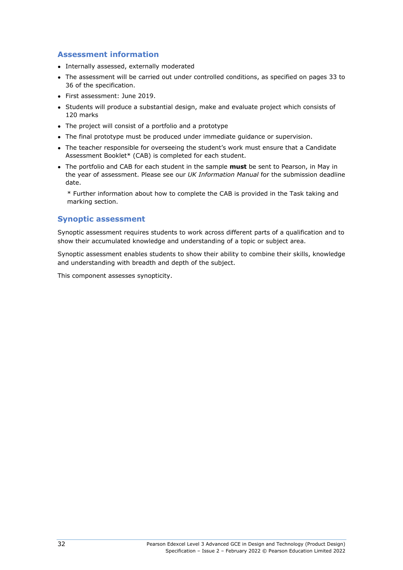#### **Assessment information**

- Internally assessed, externally moderated
- The assessment will be carried out under controlled conditions, as specified on pages 33 to 36 of the specification.
- First assessment: June 2019.
- Students will produce a substantial design, make and evaluate project which consists of 120 marks
- The project will consist of a portfolio and a prototype
- The final prototype must be produced under immediate guidance or supervision.
- The teacher responsible for overseeing the student's work must ensure that a Candidate Assessment Booklet\* (CAB) is completed for each student.
- The portfolio and CAB for each student in the sample **must** be sent to Pearson, in May in the year of assessment. Please see our *UK Information Manual* for the submission deadline date.

\* Further information about how to complete the CAB is provided in the Task taking and marking section.

#### **Synoptic assessment**

Synoptic assessment requires students to work across different parts of a qualification and to show their accumulated knowledge and understanding of a topic or subject area.

Synoptic assessment enables students to show their ability to combine their skills, knowledge and understanding with breadth and depth of the subject.

This component assesses synopticity.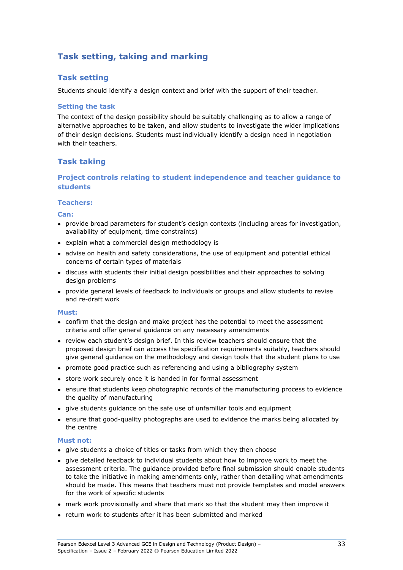# **Task setting, taking and marking**

### **Task setting**

Students should identify a design context and brief with the support of their teacher.

#### **Setting the task**

The context of the design possibility should be suitably challenging as to allow a range of alternative approaches to be taken, and allow students to investigate the wider implications of their design decisions. Students must individually identify a design need in negotiation with their teachers.

### **Task taking**

#### **Project controls relating to student independence and teacher guidance to students**

#### **Teachers:**

**Can:** 

- provide broad parameters for student's design contexts (including areas for investigation, availability of equipment, time constraints)
- explain what a commercial design methodology is
- advise on health and safety considerations, the use of equipment and potential ethical concerns of certain types of materials
- discuss with students their initial design possibilities and their approaches to solving design problems
- provide general levels of feedback to individuals or groups and allow students to revise and re-draft work

#### **Must:**

- confirm that the design and make project has the potential to meet the assessment criteria and offer general guidance on any necessary amendments
- review each student's design brief. In this review teachers should ensure that the proposed design brief can access the specification requirements suitably, teachers should give general guidance on the methodology and design tools that the student plans to use
- promote good practice such as referencing and using a bibliography system
- store work securely once it is handed in for formal assessment
- ensure that students keep photographic records of the manufacturing process to evidence the quality of manufacturing
- give students guidance on the safe use of unfamiliar tools and equipment
- ensure that good-quality photographs are used to evidence the marks being allocated by the centre

#### **Must not:**

- give students a choice of titles or tasks from which they then choose
- give detailed feedback to individual students about how to improve work to meet the assessment criteria. The guidance provided before final submission should enable students to take the initiative in making amendments only, rather than detailing what amendments should be made. This means that teachers must not provide templates and model answers for the work of specific students
- mark work provisionally and share that mark so that the student may then improve it
- return work to students after it has been submitted and marked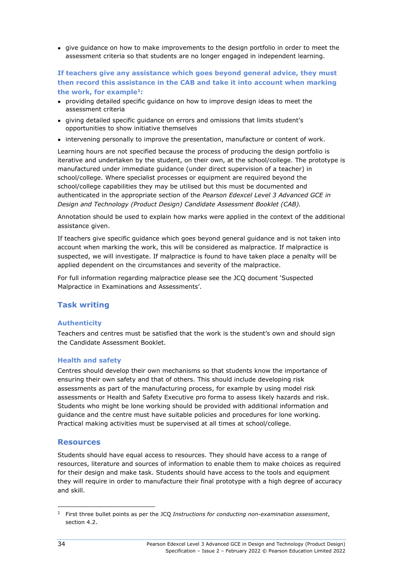● give guidance on how to make improvements to the design portfolio in order to meet the assessment criteria so that students are no longer engaged in independent learning.

#### **If teachers give any assistance which goes beyond general advice, they must then record this assistance in the CAB and take it into account when marking the work, for example**[1](#page-37-0)**:**

- providing detailed specific quidance on how to improve design ideas to meet the assessment criteria
- giving detailed specific guidance on errors and omissions that limits student's opportunities to show initiative themselves
- intervening personally to improve the presentation, manufacture or content of work.

Learning hours are not specified because the process of producing the design portfolio is iterative and undertaken by the student, on their own, at the school/college. The prototype is manufactured under immediate guidance (under direct supervision of a teacher) in school/college. Where specialist processes or equipment are required beyond the school/college capabilities they may be utilised but this must be documented and authenticated in the appropriate section of the *Pearson Edexcel Level 3 Advanced GCE in Design and Technology (Product Design) Candidate Assessment Booklet (CAB).*

Annotation should be used to explain how marks were applied in the context of the additional assistance given.

If teachers give specific guidance which goes beyond general guidance and is not taken into account when marking the work, this will be considered as malpractice. If malpractice is suspected, we will investigate. If malpractice is found to have taken place a penalty will be applied dependent on the circumstances and severity of the malpractice.

For full information regarding malpractice please see the JCQ document 'Suspected Malpractice in Examinations and Assessments'.

### **Task writing**

#### **Authenticity**

Teachers and centres must be satisfied that the work is the student's own and should sign the Candidate Assessment Booklet.

#### **Health and safety**

Centres should develop their own mechanisms so that students know the importance of ensuring their own safety and that of others. This should include developing risk assessments as part of the manufacturing process, for example by using model risk assessments or Health and Safety Executive pro forma to assess likely hazards and risk. Students who might be lone working should be provided with additional information and guidance and the centre must have suitable policies and procedures for lone working. Practical making activities must be supervised at all times at school/college.

#### **Resources**

Students should have equal access to resources. They should have access to a range of resources, literature and sources of information to enable them to make choices as required for their design and make task. Students should have access to the tools and equipment they will require in order to manufacture their final prototype with a high degree of accuracy and skill.

<span id="page-37-0"></span><sup>1</sup> First three bullet points as per the JCQ *Instructions for conducting non-examination assessment*, section 4.2.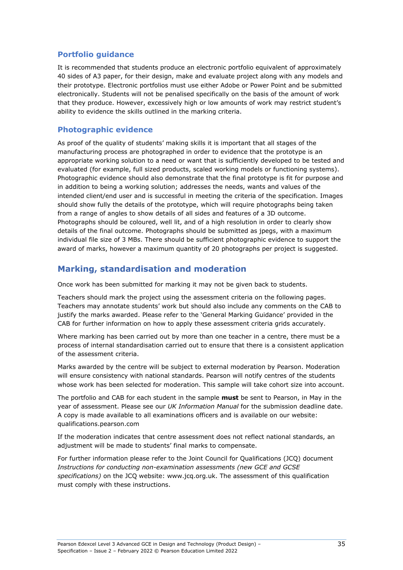#### **Portfolio guidance**

It is recommended that students produce an electronic portfolio equivalent of approximately 40 sides of A3 paper, for their design, make and evaluate project along with any models and their prototype. Electronic portfolios must use either Adobe or Power Point and be submitted electronically. Students will not be penalised specifically on the basis of the amount of work that they produce. However, excessively high or low amounts of work may restrict student's ability to evidence the skills outlined in the marking criteria.

#### **Photographic evidence**

As proof of the quality of students' making skills it is important that all stages of the manufacturing process are photographed in order to evidence that the prototype is an appropriate working solution to a need or want that is sufficiently developed to be tested and evaluated (for example, full sized products, scaled working models or functioning systems). Photographic evidence should also demonstrate that the final prototype is fit for purpose and in addition to being a working solution; addresses the needs, wants and values of the intended client/end user and is successful in meeting the criteria of the specification. Images should show fully the details of the prototype, which will require photographs being taken from a range of angles to show details of all sides and features of a 3D outcome. Photographs should be coloured, well lit, and of a high resolution in order to clearly show details of the final outcome. Photographs should be submitted as jpegs, with a maximum individual file size of 3 MBs. There should be sufficient photographic evidence to support the award of marks, however a maximum quantity of 20 photographs per project is suggested.

# **Marking, standardisation and moderation**

Once work has been submitted for marking it may not be given back to students.

Teachers should mark the project using the assessment criteria on the following pages. Teachers may annotate students' work but should also include any comments on the CAB to justify the marks awarded. Please refer to the 'General Marking Guidance' provided in the CAB for further information on how to apply these assessment criteria grids accurately.

Where marking has been carried out by more than one teacher in a centre, there must be a process of internal standardisation carried out to ensure that there is a consistent application of the assessment criteria.

Marks awarded by the centre will be subject to external moderation by Pearson. Moderation will ensure consistency with national standards. Pearson will notify centres of the students whose work has been selected for moderation. This sample will take cohort size into account.

The portfolio and CAB for each student in the sample **must** be sent to Pearson, in May in the year of assessment. Please see our *UK Information Manual* for the submission deadline date. A copy is made available to all examinations officers and is available on our website: qualifications.pearson.com

If the moderation indicates that centre assessment does not reflect national standards, an adjustment will be made to students' final marks to compensate.

For further information please refer to the Joint Council for Qualifications (JCQ) document *Instructions for conducting non-examination assessments (new GCE and GCSE specifications)* on the JCQ website: [www.jcq.org.uk.](http://www.jcq.org.uk/) The assessment of this qualification must comply with these instructions.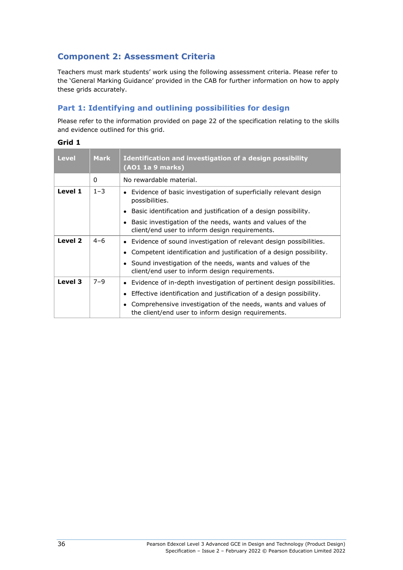# **Component 2: Assessment Criteria**

Teachers must mark students' work using the following assessment criteria. Please refer to the 'General Marking Guidance' provided in the CAB for further information on how to apply these grids accurately.

### **Part 1: Identifying and outlining possibilities for design**

Please refer to the information provided on page 22 of the specification relating to the skills and evidence outlined for this grid.

| . .<br>. .<br>.,<br>× |  |
|-----------------------|--|
|-----------------------|--|

| <b>Level</b> | <b>Mark</b> | Identification and investigation of a design possibility<br>(AO1 1a 9 marks)                                        |
|--------------|-------------|---------------------------------------------------------------------------------------------------------------------|
|              | $\Omega$    | No rewardable material.                                                                                             |
| Level 1      | $1 - 3$     | Evidence of basic investigation of superficially relevant design<br>possibilities.                                  |
|              |             | Basic identification and justification of a design possibility.                                                     |
|              |             | Basic investigation of the needs, wants and values of the<br>client/end user to inform design requirements.         |
| Level 2      | $4 - 6$     | • Evidence of sound investigation of relevant design possibilities.                                                 |
|              |             | Competent identification and justification of a design possibility.                                                 |
|              |             | Sound investigation of the needs, wants and values of the<br>client/end user to inform design requirements.         |
| Level 3      | $7 - 9$     | • Evidence of in-depth investigation of pertinent design possibilities.                                             |
|              |             | Effective identification and justification of a design possibility.                                                 |
|              |             | Comprehensive investigation of the needs, wants and values of<br>the client/end user to inform design requirements. |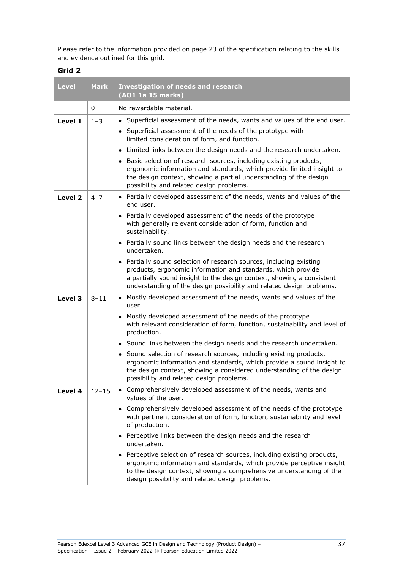Please refer to the information provided on page 23 of the specification relating to the skills and evidence outlined for this grid.

| <b>Level</b> | <b>Mark</b> | <b>Investigation of needs and research</b><br>(AO1 1a 15 marks)                                                                                                                                                                                                                      |
|--------------|-------------|--------------------------------------------------------------------------------------------------------------------------------------------------------------------------------------------------------------------------------------------------------------------------------------|
|              | 0           | No rewardable material.                                                                                                                                                                                                                                                              |
| Level 1      | $1 - 3$     | • Superficial assessment of the needs, wants and values of the end user.                                                                                                                                                                                                             |
|              |             | • Superficial assessment of the needs of the prototype with<br>limited consideration of form, and function.                                                                                                                                                                          |
|              |             | Limited links between the design needs and the research undertaken.                                                                                                                                                                                                                  |
|              |             | • Basic selection of research sources, including existing products,<br>ergonomic information and standards, which provide limited insight to<br>the design context, showing a partial understanding of the design<br>possibility and related design problems.                        |
| Level 2      | $4 - 7$     | • Partially developed assessment of the needs, wants and values of the<br>end user.                                                                                                                                                                                                  |
|              |             | Partially developed assessment of the needs of the prototype<br>$\bullet$<br>with generally relevant consideration of form, function and<br>sustainability.                                                                                                                          |
|              |             | • Partially sound links between the design needs and the research<br>undertaken.                                                                                                                                                                                                     |
|              |             | • Partially sound selection of research sources, including existing<br>products, ergonomic information and standards, which provide<br>a partially sound insight to the design context, showing a consistent<br>understanding of the design possibility and related design problems. |
| Level 3      | $8 - 11$    | • Mostly developed assessment of the needs, wants and values of the<br>user.                                                                                                                                                                                                         |
|              |             | • Mostly developed assessment of the needs of the prototype<br>with relevant consideration of form, function, sustainability and level of<br>production.                                                                                                                             |
|              |             | • Sound links between the design needs and the research undertaken.                                                                                                                                                                                                                  |
|              |             | • Sound selection of research sources, including existing products,<br>ergonomic information and standards, which provide a sound insight to<br>the design context, showing a considered understanding of the design<br>possibility and related design problems.                     |
| Level 4      | $12 - 15$   | • Comprehensively developed assessment of the needs, wants and<br>values of the user.                                                                                                                                                                                                |
|              |             | • Comprehensively developed assessment of the needs of the prototype<br>with pertinent consideration of form, function, sustainability and level<br>of production.                                                                                                                   |
|              |             | • Perceptive links between the design needs and the research<br>undertaken.                                                                                                                                                                                                          |
|              |             | Perceptive selection of research sources, including existing products,<br>ergonomic information and standards, which provide perceptive insight<br>to the design context, showing a comprehensive understanding of the<br>design possibility and related design problems.            |

**Grid 2**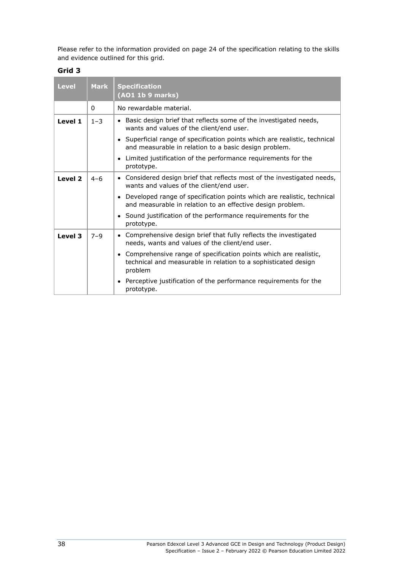Please refer to the information provided on page 24 of the specification relating to the skills and evidence outlined for this grid.

| .,<br>. .<br>×<br>. .<br>., | v |
|-----------------------------|---|
|-----------------------------|---|

| <b>Level</b> | <b>Mark</b> | <b>Specification</b><br>(AO1 1b 9 marks)                                                                                                        |
|--------------|-------------|-------------------------------------------------------------------------------------------------------------------------------------------------|
|              | 0           | No rewardable material.                                                                                                                         |
| Level 1      | $1 - 3$     | • Basic design brief that reflects some of the investigated needs,<br>wants and values of the client/end user.                                  |
|              |             | • Superficial range of specification points which are realistic, technical<br>and measurable in relation to a basic design problem.             |
|              |             | • Limited justification of the performance requirements for the<br>prototype.                                                                   |
| Level 2      | $4 - 6$     | • Considered design brief that reflects most of the investigated needs,<br>wants and values of the client/end user.                             |
|              |             | • Developed range of specification points which are realistic, technical<br>and measurable in relation to an effective design problem.          |
|              |             | • Sound justification of the performance requirements for the<br>prototype.                                                                     |
| Level 3      | $7 - 9$     | • Comprehensive design brief that fully reflects the investigated<br>needs, wants and values of the client/end user.                            |
|              |             | • Comprehensive range of specification points which are realistic,<br>technical and measurable in relation to a sophisticated design<br>problem |
|              |             | Perceptive justification of the performance requirements for the<br>prototype.                                                                  |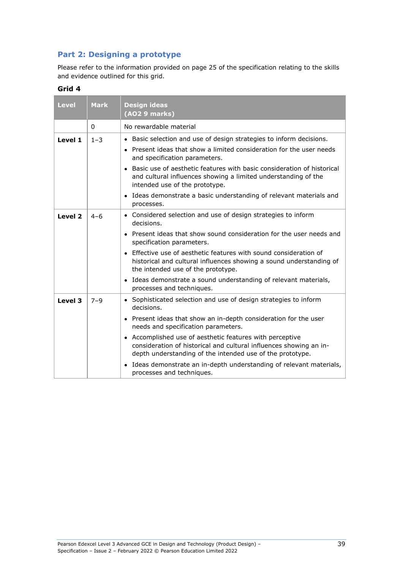# **Part 2: Designing a prototype**

Please refer to the information provided on page 25 of the specification relating to the skills and evidence outlined for this grid.

| <b>Level</b> | <b>Mark</b> | <b>Design ideas</b><br>(AO2 9 marks)                                                                                                                                                        |
|--------------|-------------|---------------------------------------------------------------------------------------------------------------------------------------------------------------------------------------------|
|              | 0           | No rewardable material                                                                                                                                                                      |
| Level 1      | $1 - 3$     | • Basic selection and use of design strategies to inform decisions.                                                                                                                         |
|              |             | • Present ideas that show a limited consideration for the user needs<br>and specification parameters.                                                                                       |
|              |             | Basic use of aesthetic features with basic consideration of historical<br>$\bullet$<br>and cultural influences showing a limited understanding of the<br>intended use of the prototype.     |
|              |             | • Ideas demonstrate a basic understanding of relevant materials and<br>processes.                                                                                                           |
| Level 2      | $4 - 6$     | • Considered selection and use of design strategies to inform<br>decisions.                                                                                                                 |
|              |             | Present ideas that show sound consideration for the user needs and<br>specification parameters.                                                                                             |
|              |             | Effective use of aesthetic features with sound consideration of<br>historical and cultural influences showing a sound understanding of<br>the intended use of the prototype.                |
|              |             | Ideas demonstrate a sound understanding of relevant materials,<br>processes and techniques.                                                                                                 |
| Level 3      | $7 - 9$     | • Sophisticated selection and use of design strategies to inform<br>decisions.                                                                                                              |
|              |             | Present ideas that show an in-depth consideration for the user<br>$\bullet$<br>needs and specification parameters.                                                                          |
|              |             | • Accomplished use of aesthetic features with perceptive<br>consideration of historical and cultural influences showing an in-<br>depth understanding of the intended use of the prototype. |
|              |             | Ideas demonstrate an in-depth understanding of relevant materials,<br>$\bullet$<br>processes and techniques.                                                                                |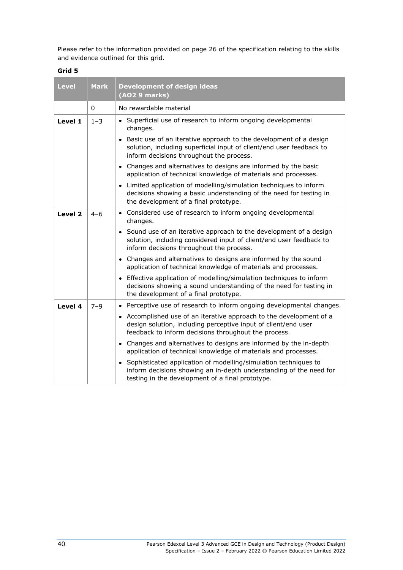Please refer to the information provided on page 26 of the specification relating to the skills and evidence outlined for this grid.

| <b>Level</b>       | <b>Mark</b> | <b>Development of design ideas</b><br>(AO2 9 marks)                                                                                                                                           |
|--------------------|-------------|-----------------------------------------------------------------------------------------------------------------------------------------------------------------------------------------------|
|                    | 0           | No rewardable material                                                                                                                                                                        |
| Level 1            | $1 - 3$     | • Superficial use of research to inform ongoing developmental<br>changes.                                                                                                                     |
|                    |             | • Basic use of an iterative approach to the development of a design<br>solution, including superficial input of client/end user feedback to<br>inform decisions throughout the process.       |
|                    |             | • Changes and alternatives to designs are informed by the basic<br>application of technical knowledge of materials and processes.                                                             |
|                    |             | Limited application of modelling/simulation techniques to inform<br>decisions showing a basic understanding of the need for testing in<br>the development of a final prototype.               |
| Level <sub>2</sub> | $4 - 6$     | • Considered use of research to inform ongoing developmental<br>changes.                                                                                                                      |
|                    |             | • Sound use of an iterative approach to the development of a design<br>solution, including considered input of client/end user feedback to<br>inform decisions throughout the process.        |
|                    |             | • Changes and alternatives to designs are informed by the sound<br>application of technical knowledge of materials and processes.                                                             |
|                    |             | • Effective application of modelling/simulation techniques to inform<br>decisions showing a sound understanding of the need for testing in<br>the development of a final prototype.           |
| Level 4            | $7 - 9$     | • Perceptive use of research to inform ongoing developmental changes.                                                                                                                         |
|                    |             | • Accomplished use of an iterative approach to the development of a<br>design solution, including perceptive input of client/end user<br>feedback to inform decisions throughout the process. |
|                    |             | • Changes and alternatives to designs are informed by the in-depth<br>application of technical knowledge of materials and processes.                                                          |
|                    |             | • Sophisticated application of modelling/simulation techniques to<br>inform decisions showing an in-depth understanding of the need for<br>testing in the development of a final prototype.   |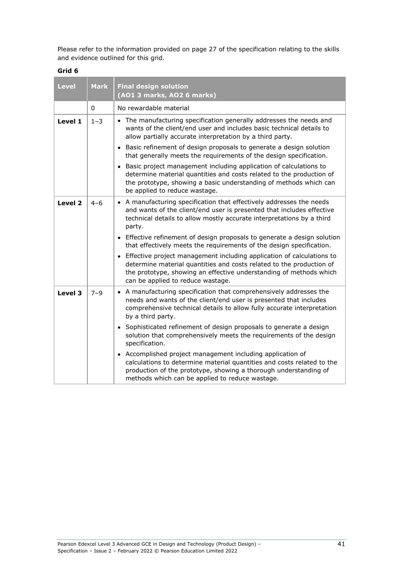Please refer to the information provided on page 27 of the specification relating to the skills and evidence outlined for this grid.

| <b>Level</b> | <b>Mark</b> | <b>Final design solution</b><br>(AO1 3 marks, AO2 6 marks)                                                                                                                                                                                                  |
|--------------|-------------|-------------------------------------------------------------------------------------------------------------------------------------------------------------------------------------------------------------------------------------------------------------|
|              | $\Omega$    | No rewardable material                                                                                                                                                                                                                                      |
| Level 1      | $1 - 3$     | • The manufacturing specification generally addresses the needs and<br>wants of the client/end user and includes basic technical details to<br>allow partially accurate interpretation by a third party.                                                    |
|              |             | • Basic refinement of design proposals to generate a design solution<br>that generally meets the requirements of the design specification.                                                                                                                  |
|              |             | • Basic project management including application of calculations to<br>determine material quantities and costs related to the production of<br>the prototype, showing a basic understanding of methods which can<br>be applied to reduce wastage.           |
| Level 2      | $4 - 6$     | • A manufacturing specification that effectively addresses the needs<br>and wants of the client/end user is presented that includes effective<br>technical details to allow mostly accurate interpretations by a third<br>party.                            |
|              |             | • Effective refinement of design proposals to generate a design solution<br>that effectively meets the requirements of the design specification.                                                                                                            |
|              |             | • Effective project management including application of calculations to<br>determine material quantities and costs related to the production of<br>the prototype, showing an effective understanding of methods which<br>can be applied to reduce wastage.  |
| Level 3      | $7 - 9$     | • A manufacturing specification that comprehensively addresses the<br>needs and wants of the client/end user is presented that includes<br>comprehensive technical details to allow fully accurate interpretation<br>by a third party.                      |
|              |             | • Sophisticated refinement of design proposals to generate a design<br>solution that comprehensively meets the requirements of the design<br>specification.                                                                                                 |
|              |             | • Accomplished project management including application of<br>calculations to determine material quantities and costs related to the<br>production of the prototype, showing a thorough understanding of<br>methods which can be applied to reduce wastage. |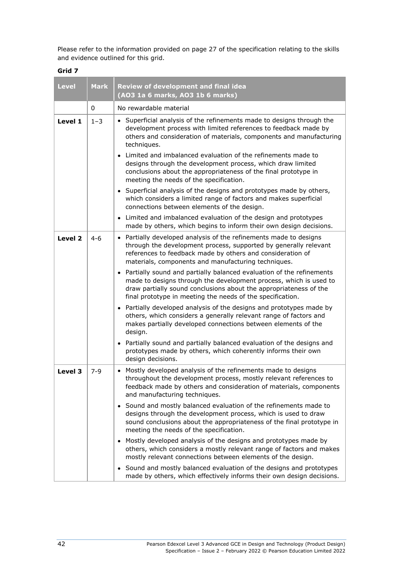Please refer to the information provided on page 27 of the specification relating to the skills and evidence outlined for this grid.

| <b>Level</b> | <b>Mark</b> | <b>Review of development and final idea</b><br>(AO3 1a 6 marks, AO3 1b 6 marks)                                                                                                                                                                                                                                                                                                                                                                                                                                                                                                                                                                                                                                                                                                                                                                                                                                                                  |
|--------------|-------------|--------------------------------------------------------------------------------------------------------------------------------------------------------------------------------------------------------------------------------------------------------------------------------------------------------------------------------------------------------------------------------------------------------------------------------------------------------------------------------------------------------------------------------------------------------------------------------------------------------------------------------------------------------------------------------------------------------------------------------------------------------------------------------------------------------------------------------------------------------------------------------------------------------------------------------------------------|
|              | 0           | No rewardable material                                                                                                                                                                                                                                                                                                                                                                                                                                                                                                                                                                                                                                                                                                                                                                                                                                                                                                                           |
| Level 1      | $1 - 3$     | • Superficial analysis of the refinements made to designs through the<br>development process with limited references to feedback made by<br>others and consideration of materials, components and manufacturing<br>techniques.<br>Limited and imbalanced evaluation of the refinements made to<br>$\bullet$<br>designs through the development process, which draw limited<br>conclusions about the appropriateness of the final prototype in                                                                                                                                                                                                                                                                                                                                                                                                                                                                                                    |
|              |             | meeting the needs of the specification.<br>• Superficial analysis of the designs and prototypes made by others,<br>which considers a limited range of factors and makes superficial<br>connections between elements of the design.                                                                                                                                                                                                                                                                                                                                                                                                                                                                                                                                                                                                                                                                                                               |
|              |             | Limited and imbalanced evaluation of the design and prototypes<br>$\bullet$<br>made by others, which begins to inform their own design decisions.                                                                                                                                                                                                                                                                                                                                                                                                                                                                                                                                                                                                                                                                                                                                                                                                |
| Level 2      | $4 - 6$     | • Partially developed analysis of the refinements made to designs<br>through the development process, supported by generally relevant<br>references to feedback made by others and consideration of<br>materials, components and manufacturing techniques.<br>Partially sound and partially balanced evaluation of the refinements<br>$\bullet$<br>made to designs through the development process, which is used to<br>draw partially sound conclusions about the appropriateness of the<br>final prototype in meeting the needs of the specification.<br>• Partially developed analysis of the designs and prototypes made by<br>others, which considers a generally relevant range of factors and<br>makes partially developed connections between elements of the<br>design.<br>• Partially sound and partially balanced evaluation of the designs and<br>prototypes made by others, which coherently informs their own<br>design decisions. |
| Level 3      | $7 - 9$     | • Mostly developed analysis of the refinements made to designs<br>throughout the development process, mostly relevant references to<br>feedback made by others and consideration of materials, components<br>and manufacturing techniques.<br>• Sound and mostly balanced evaluation of the refinements made to<br>designs through the development process, which is used to draw<br>sound conclusions about the appropriateness of the final prototype in<br>meeting the needs of the specification.<br>Mostly developed analysis of the designs and prototypes made by<br>$\bullet$<br>others, which considers a mostly relevant range of factors and makes<br>mostly relevant connections between elements of the design.<br>• Sound and mostly balanced evaluation of the designs and prototypes<br>made by others, which effectively informs their own design decisions.                                                                    |

**Grid 7**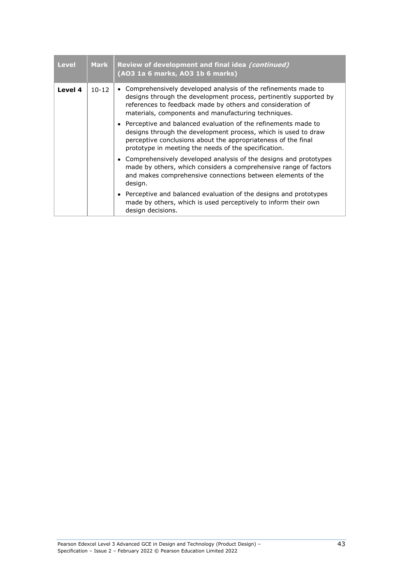| <b>Level</b> | <b>Mark</b> | Review of development and final idea (continued)<br>(AO3 1a 6 marks, AO3 1b 6 marks)                                                                                                                                                                       |
|--------------|-------------|------------------------------------------------------------------------------------------------------------------------------------------------------------------------------------------------------------------------------------------------------------|
| Level 4      | $10 - 12$   | Comprehensively developed analysis of the refinements made to<br>designs through the development process, pertinently supported by<br>references to feedback made by others and consideration of<br>materials, components and manufacturing techniques.    |
|              |             | • Perceptive and balanced evaluation of the refinements made to<br>designs through the development process, which is used to draw<br>perceptive conclusions about the appropriateness of the final<br>prototype in meeting the needs of the specification. |
|              |             | • Comprehensively developed analysis of the designs and prototypes<br>made by others, which considers a comprehensive range of factors<br>and makes comprehensive connections between elements of the<br>design.                                           |
|              |             | • Perceptive and balanced evaluation of the designs and prototypes<br>made by others, which is used perceptively to inform their own<br>design decisions.                                                                                                  |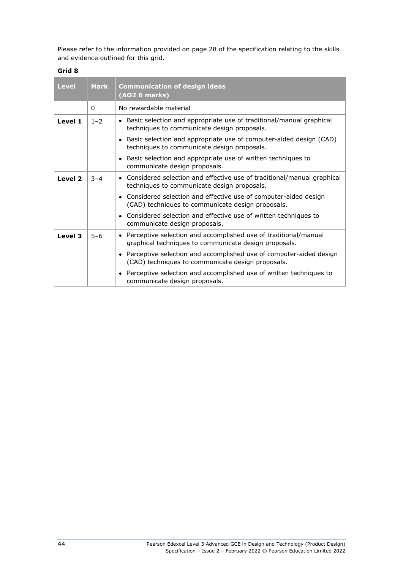Please refer to the information provided on page 28 of the specification relating to the skills and evidence outlined for this grid.

| <b>Level</b> | <b>Mark</b> | <b>Communication of design ideas</b><br>(AO2 6 marks)                                                                      |
|--------------|-------------|----------------------------------------------------------------------------------------------------------------------------|
|              | 0           | No rewardable material                                                                                                     |
| Level 1      | $1 - 2$     | • Basic selection and appropriate use of traditional/manual graphical<br>techniques to communicate design proposals.       |
|              |             | • Basic selection and appropriate use of computer-aided design (CAD)<br>techniques to communicate design proposals.        |
|              |             | • Basic selection and appropriate use of written techniques to<br>communicate design proposals.                            |
| Level 2      | $3 - 4$     | • Considered selection and effective use of traditional/manual graphical<br>techniques to communicate design proposals.    |
|              |             | • Considered selection and effective use of computer-aided design<br>(CAD) techniques to communicate design proposals.     |
|              |             | • Considered selection and effective use of written techniques to<br>communicate design proposals.                         |
| Level 3      | $5 - 6$     | • Perceptive selection and accomplished use of traditional/manual<br>graphical techniques to communicate design proposals. |
|              |             | • Perceptive selection and accomplished use of computer-aided design<br>(CAD) techniques to communicate design proposals.  |
|              |             | • Perceptive selection and accomplished use of written techniques to<br>communicate design proposals.                      |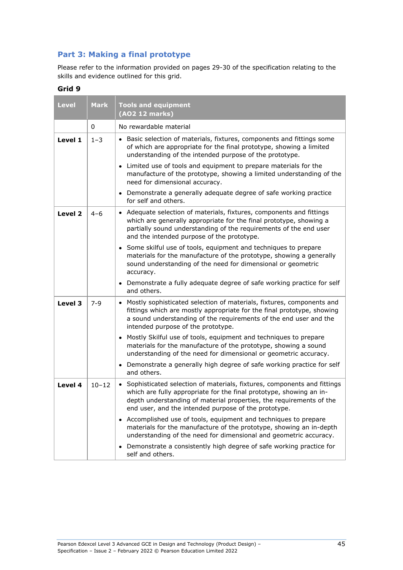## **Part 3: Making a final prototype**

Please refer to the information provided on pages 29-30 of the specification relating to the skills and evidence outlined for this grid.

| <b>Level</b> | <b>Mark</b> | <b>Tools and equipment</b><br>(AO2 12 marks)                                                                                                                                                                                                                                  |
|--------------|-------------|-------------------------------------------------------------------------------------------------------------------------------------------------------------------------------------------------------------------------------------------------------------------------------|
|              | 0           | No rewardable material                                                                                                                                                                                                                                                        |
| Level 1      | $1 - 3$     | • Basic selection of materials, fixtures, components and fittings some<br>of which are appropriate for the final prototype, showing a limited<br>understanding of the intended purpose of the prototype.                                                                      |
|              |             | • Limited use of tools and equipment to prepare materials for the<br>manufacture of the prototype, showing a limited understanding of the<br>need for dimensional accuracy.                                                                                                   |
|              |             | • Demonstrate a generally adequate degree of safe working practice<br>for self and others.                                                                                                                                                                                    |
| Level 2      | $4 - 6$     | • Adequate selection of materials, fixtures, components and fittings<br>which are generally appropriate for the final prototype, showing a<br>partially sound understanding of the requirements of the end user<br>and the intended purpose of the prototype.                 |
|              |             | • Some skilful use of tools, equipment and techniques to prepare<br>materials for the manufacture of the prototype, showing a generally<br>sound understanding of the need for dimensional or geometric<br>accuracy.                                                          |
|              |             | • Demonstrate a fully adequate degree of safe working practice for self<br>and others.                                                                                                                                                                                        |
| Level 3      | $7 - 9$     | Mostly sophisticated selection of materials, fixtures, components and<br>fittings which are mostly appropriate for the final prototype, showing<br>a sound understanding of the requirements of the end user and the<br>intended purpose of the prototype.                    |
|              |             | • Mostly Skilful use of tools, equipment and techniques to prepare<br>materials for the manufacture of the prototype, showing a sound<br>understanding of the need for dimensional or geometric accuracy.                                                                     |
|              |             | • Demonstrate a generally high degree of safe working practice for self<br>and others.                                                                                                                                                                                        |
| Level 4      | $10 - 12$   | Sophisticated selection of materials, fixtures, components and fittings<br>which are fully appropriate for the final prototype, showing an in-<br>depth understanding of material properties, the requirements of the<br>end user, and the intended purpose of the prototype. |
|              |             | • Accomplished use of tools, equipment and techniques to prepare<br>materials for the manufacture of the prototype, showing an in-depth<br>understanding of the need for dimensional and geometric accuracy.                                                                  |
|              |             | • Demonstrate a consistently high degree of safe working practice for<br>self and others.                                                                                                                                                                                     |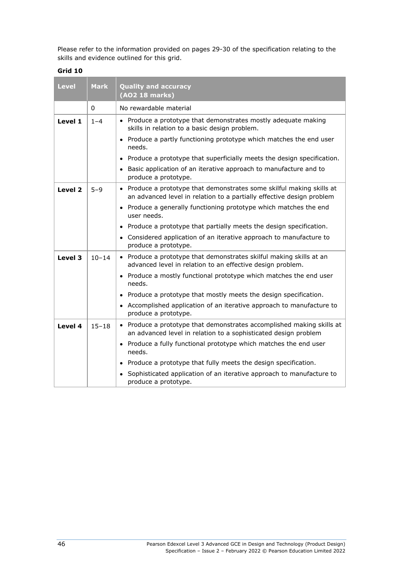Please refer to the information provided on pages 29-30 of the specification relating to the skills and evidence outlined for this grid.

| <b>Level</b> | <b>Mark</b> | <b>Quality and accuracy</b><br>(AO2 18 marks)                                                                                                  |
|--------------|-------------|------------------------------------------------------------------------------------------------------------------------------------------------|
|              | $\Omega$    | No rewardable material                                                                                                                         |
| Level 1      | $1 - 4$     | • Produce a prototype that demonstrates mostly adequate making<br>skills in relation to a basic design problem.                                |
|              |             | • Produce a partly functioning prototype which matches the end user<br>needs.                                                                  |
|              |             | • Produce a prototype that superficially meets the design specification.                                                                       |
|              |             | • Basic application of an iterative approach to manufacture and to<br>produce a prototype.                                                     |
| Level 2      | $5 - 9$     | • Produce a prototype that demonstrates some skilful making skills at<br>an advanced level in relation to a partially effective design problem |
|              |             | • Produce a generally functioning prototype which matches the end<br>user needs.                                                               |
|              |             | • Produce a prototype that partially meets the design specification.                                                                           |
|              |             | Considered application of an iterative approach to manufacture to<br>produce a prototype.                                                      |
| Level 3      | $10 - 14$   | • Produce a prototype that demonstrates skilful making skills at an<br>advanced level in relation to an effective design problem.              |
|              |             | • Produce a mostly functional prototype which matches the end user<br>needs.                                                                   |
|              |             | Produce a prototype that mostly meets the design specification.                                                                                |
|              |             | • Accomplished application of an iterative approach to manufacture to<br>produce a prototype.                                                  |
| Level 4      | $15 - 18$   | • Produce a prototype that demonstrates accomplished making skills at<br>an advanced level in relation to a sophisticated design problem       |
|              |             | • Produce a fully functional prototype which matches the end user<br>needs.                                                                    |
|              |             | • Produce a prototype that fully meets the design specification.                                                                               |
|              |             | • Sophisticated application of an iterative approach to manufacture to<br>produce a prototype.                                                 |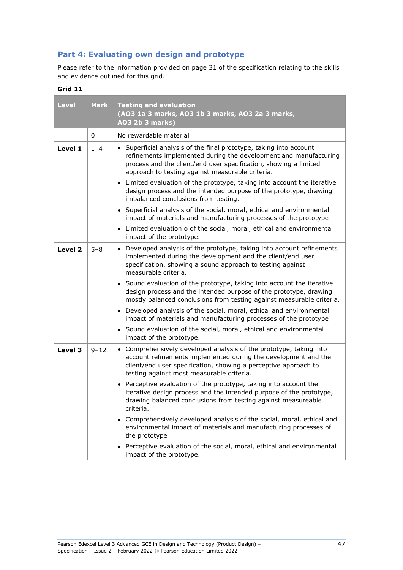# **Part 4: Evaluating own design and prototype**

Please refer to the information provided on page 31 of the specification relating to the skills and evidence outlined for this grid.

| <b>Level</b>       | <b>Mark</b> | <b>Testing and evaluation</b><br>(AO3 1a 3 marks, AO3 1b 3 marks, AO3 2a 3 marks,<br><b>AO3 2b 3 marks)</b>                                                                                                                                                     |
|--------------------|-------------|-----------------------------------------------------------------------------------------------------------------------------------------------------------------------------------------------------------------------------------------------------------------|
|                    | 0           | No rewardable material                                                                                                                                                                                                                                          |
| Level 1            | $1 - 4$     | • Superficial analysis of the final prototype, taking into account<br>refinements implemented during the development and manufacturing<br>process and the client/end user specification, showing a limited<br>approach to testing against measurable criteria.  |
|                    |             | • Limited evaluation of the prototype, taking into account the iterative<br>design process and the intended purpose of the prototype, drawing<br>imbalanced conclusions from testing.                                                                           |
|                    |             | • Superficial analysis of the social, moral, ethical and environmental<br>impact of materials and manufacturing processes of the prototype                                                                                                                      |
|                    |             | • Limited evaluation o of the social, moral, ethical and environmental<br>impact of the prototype.                                                                                                                                                              |
| Level <sub>2</sub> | $5 - 8$     | Developed analysis of the prototype, taking into account refinements<br>$\bullet$<br>implemented during the development and the client/end user<br>specification, showing a sound approach to testing against<br>measurable criteria.                           |
|                    |             | • Sound evaluation of the prototype, taking into account the iterative<br>design process and the intended purpose of the prototype, drawing<br>mostly balanced conclusions from testing against measurable criteria.                                            |
|                    |             | • Developed analysis of the social, moral, ethical and environmental<br>impact of materials and manufacturing processes of the prototype                                                                                                                        |
|                    |             | • Sound evaluation of the social, moral, ethical and environmental<br>impact of the prototype.                                                                                                                                                                  |
| Level 3            | $9 - 12$    | Comprehensively developed analysis of the prototype, taking into<br>$\bullet$<br>account refinements implemented during the development and the<br>client/end user specification, showing a perceptive approach to<br>testing against most measurable criteria. |
|                    |             | • Perceptive evaluation of the prototype, taking into account the<br>iterative design process and the intended purpose of the prototype,<br>drawing balanced conclusions from testing against measureable<br>criteria.                                          |
|                    |             | • Comprehensively developed analysis of the social, moral, ethical and<br>environmental impact of materials and manufacturing processes of<br>the prototype                                                                                                     |
|                    |             | • Perceptive evaluation of the social, moral, ethical and environmental<br>impact of the prototype.                                                                                                                                                             |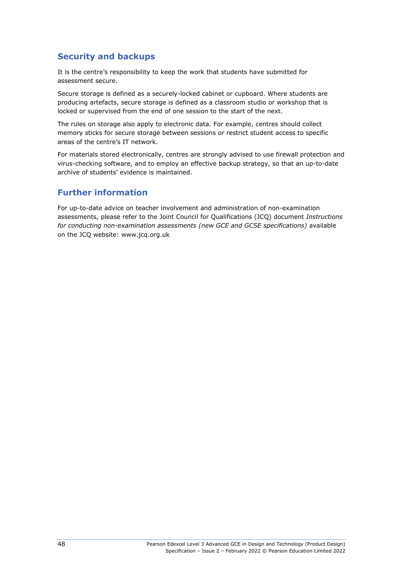# **Security and backups**

It is the centre's responsibility to keep the work that students have submitted for assessment secure.

Secure storage is defined as a securely-locked cabinet or cupboard. Where students are producing artefacts, secure storage is defined as a classroom studio or workshop that is locked or supervised from the end of one session to the start of the next.

The rules on storage also apply to electronic data. For example, centres should collect memory sticks for secure storage between sessions or restrict student access to specific areas of the centre's IT network.

For materials stored electronically, centres are strongly advised to use firewall protection and virus-checking software, and to employ an effective backup strategy, so that an up-to-date archive of students' evidence is maintained.

## **Further information**

For up-to-date advice on teacher involvement and administration of non-examination assessments, please refer to the Joint Council for Qualifications (JCQ) document *Instructions for conducting non-examination assessments (new GCE and GCSE specifications)* available on the JCQ website: www.jcq.org.uk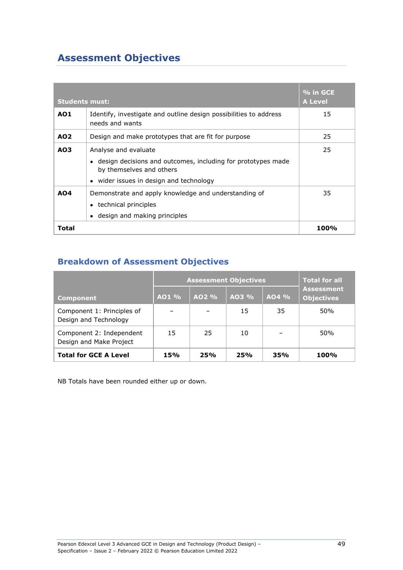# **Assessment Objectives**

| <b>Students must:</b> |                                                                                                                                                               | % in GCE<br><b>A Level</b> |
|-----------------------|---------------------------------------------------------------------------------------------------------------------------------------------------------------|----------------------------|
| <b>AO1</b>            | Identify, investigate and outline design possibilities to address<br>needs and wants                                                                          | 15                         |
| AO <sub>2</sub>       | Design and make prototypes that are fit for purpose                                                                                                           | 25                         |
| AO <sub>3</sub>       | Analyse and evaluate<br>• design decisions and outcomes, including for prototypes made<br>by themselves and others<br>• wider issues in design and technology | 25                         |
| A04                   | Demonstrate and apply knowledge and understanding of<br>• technical principles<br>design and making principles                                                | 35                         |
| Total                 |                                                                                                                                                               | 100%                       |

# **Breakdown of Assessment Objectives**

|                                                     | <b>Assessment Objectives</b> |       |            |         | <b>Total for all</b>                   |
|-----------------------------------------------------|------------------------------|-------|------------|---------|----------------------------------------|
| <b>Component</b>                                    | $AO1$ %                      | AO2 % | AO3 %      | $AO4\%$ | <b>Assessment</b><br><b>Objectives</b> |
| Component 1: Principles of<br>Design and Technology |                              |       | 15         | 35      | 50%                                    |
| Component 2: Independent<br>Design and Make Project | 15                           | 25    | 10         |         | 50%                                    |
| <b>Total for GCE A Level</b>                        | 15%                          | 25%   | <b>25%</b> | 35%     | <b>100%</b>                            |

NB Totals have been rounded either up or down.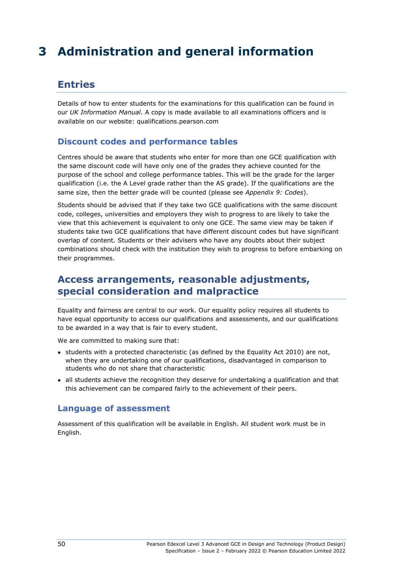# **3 Administration and general information**

# **Entries**

Details of how to enter students for the examinations for this qualification can be found in our *UK Information Manual*. A copy is made available to all examinations officers and is available on our website: qualifications.pearson.com

## **Discount codes and performance tables**

Centres should be aware that students who enter for more than one GCE qualification with the same discount code will have only one of the grades they achieve counted for the purpose of the school and college performance tables. This will be the grade for the larger qualification (i.e. the A Level grade rather than the AS grade). If the qualifications are the same size, then the better grade will be counted (please see *Appendix 9: Codes*).

Students should be advised that if they take two GCE qualifications with the same discount code, colleges, universities and employers they wish to progress to are likely to take the view that this achievement is equivalent to only one GCE. The same view may be taken if students take two GCE qualifications that have different discount codes but have significant overlap of content. Students or their advisers who have any doubts about their subject combinations should check with the institution they wish to progress to before embarking on their programmes.

# **Access arrangements, reasonable adjustments, special consideration and malpractice**

Equality and fairness are central to our work. Our equality policy requires all students to have equal opportunity to access our qualifications and assessments, and our qualifications to be awarded in a way that is fair to every student.

We are committed to making sure that:

- students with a protected characteristic (as defined by the Equality Act 2010) are not, when they are undertaking one of our qualifications, disadvantaged in comparison to students who do not share that characteristic
- all students achieve the recognition they deserve for undertaking a qualification and that this achievement can be compared fairly to the achievement of their peers.

#### **Language of assessment**

Assessment of this qualification will be available in English. All student work must be in English.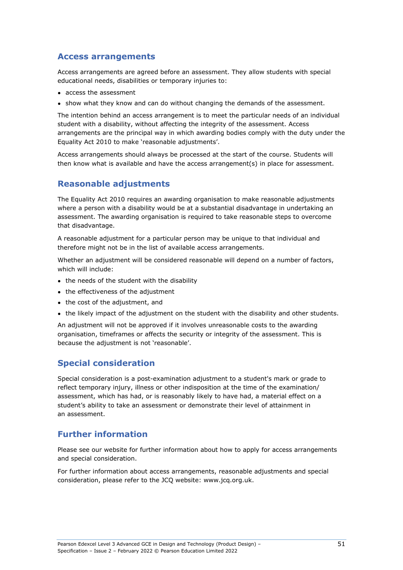### **Access arrangements**

Access arrangements are agreed before an assessment. They allow students with special educational needs, disabilities or temporary injuries to:

- access the assessment
- show what they know and can do without changing the demands of the assessment.

The intention behind an access arrangement is to meet the particular needs of an individual student with a disability, without affecting the integrity of the assessment. Access arrangements are the principal way in which awarding bodies comply with the duty under the Equality Act 2010 to make 'reasonable adjustments'.

Access arrangements should always be processed at the start of the course. Students will then know what is available and have the access arrangement(s) in place for assessment.

# **Reasonable adjustments**

The Equality Act 2010 requires an awarding organisation to make reasonable adjustments where a person with a disability would be at a substantial disadvantage in undertaking an assessment. The awarding organisation is required to take reasonable steps to overcome that disadvantage.

A reasonable adjustment for a particular person may be unique to that individual and therefore might not be in the list of available access arrangements.

Whether an adjustment will be considered reasonable will depend on a number of factors, which will include:

- the needs of the student with the disability
- the effectiveness of the adjustment
- the cost of the adjustment, and
- the likely impact of the adjustment on the student with the disability and other students.

An adjustment will not be approved if it involves unreasonable costs to the awarding organisation, timeframes or affects the security or integrity of the assessment. This is because the adjustment is not 'reasonable'.

# **Special consideration**

Special consideration is a post-examination adjustment to a student's mark or grade to reflect temporary injury, illness or other indisposition at the time of the examination/ assessment, which has had, or is reasonably likely to have had, a material effect on a student's ability to take an assessment or demonstrate their level of attainment in an assessment.

# **Further information**

Please see our website for further information about how to apply for access arrangements and special consideration.

For further information about access arrangements, reasonable adjustments and special consideration, please refer to the JCQ website: www.jcq.org.uk.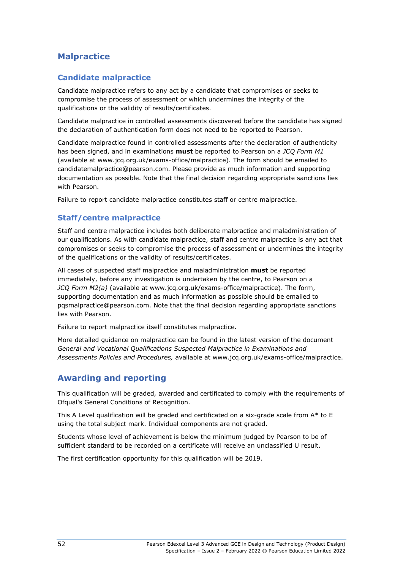# **Malpractice**

## **Candidate malpractice**

Candidate malpractice refers to any act by a candidate that compromises or seeks to compromise the process of assessment or which undermines the integrity of the qualifications or the validity of results/certificates.

Candidate malpractice in controlled assessments discovered before the candidate has signed the declaration of authentication form does not need to be reported to Pearson.

Candidate malpractice found in controlled assessments after the declaration of authenticity has been signed, and in examinations **must** be reported to Pearson on a *JCQ Form M1* (available at [www.jcq.org.uk/exams-office/malpractice\)](http://www.jcq.org.uk/exams-office/malpractice). The form should be emailed to [candidatemalpractice@pearson.com.](mailto:candidatemalpractice@pearson.com) Please provide as much information and supporting documentation as possible. Note that the final decision regarding appropriate sanctions lies with Pearson.

Failure to report candidate malpractice constitutes staff or centre malpractice.

### **Staff/centre malpractice**

Staff and centre malpractice includes both deliberate malpractice and maladministration of our qualifications. As with candidate malpractice, staff and centre malpractice is any act that compromises or seeks to compromise the process of assessment or undermines the integrity of the qualifications or the validity of results/certificates.

All cases of suspected staff malpractice and maladministration **must** be reported immediately, before any investigation is undertaken by the centre, to Pearson on a *JCQ Form M2(a)* (available at www.jcq.org.uk/exams-office/malpractice). The form, supporting documentation and as much information as possible should be emailed to [pqsmalpractice@pearson.com.](mailto:pqsmalpractice@pearson.com) Note that the final decision regarding appropriate sanctions lies with Pearson.

Failure to report malpractice itself constitutes malpractice.

More detailed guidance on malpractice can be found in the latest version of the document *General and Vocational Qualifications Suspected Malpractice in Examinations and Assessments Policies and Procedures,* available at www.jcq.org.uk/exams-office/malpractice.

# **Awarding and reporting**

This qualification will be graded, awarded and certificated to comply with the requirements of Ofqual's General Conditions of Recognition.

This A Level qualification will be graded and certificated on a six-grade scale from  $A^*$  to E using the total subject mark. Individual components are not graded.

Students whose level of achievement is below the minimum judged by Pearson to be of sufficient standard to be recorded on a certificate will receive an unclassified U result.

The first certification opportunity for this qualification will be 2019.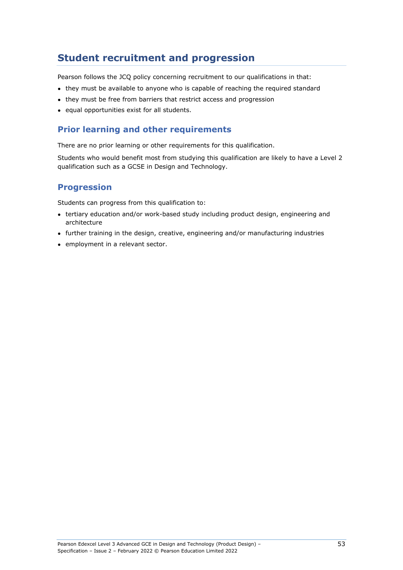# **Student recruitment and progression**

Pearson follows the JCQ policy concerning recruitment to our qualifications in that:

- they must be available to anyone who is capable of reaching the required standard
- they must be free from barriers that restrict access and progression
- equal opportunities exist for all students.

## **Prior learning and other requirements**

There are no prior learning or other requirements for this qualification.

Students who would benefit most from studying this qualification are likely to have a Level 2 qualification such as a GCSE in Design and Technology.

## **Progression**

Students can progress from this qualification to:

- tertiary education and/or work-based study including product design, engineering and architecture
- further training in the design, creative, engineering and/or manufacturing industries
- employment in a relevant sector.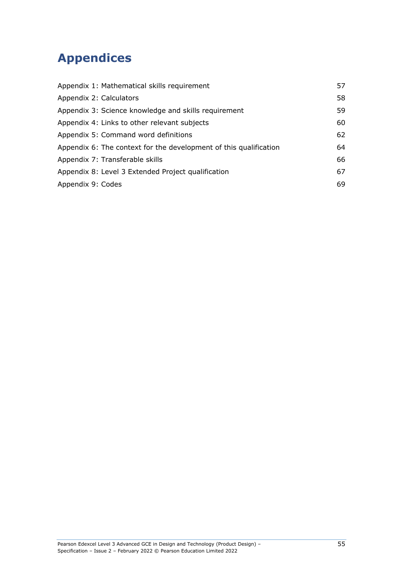# **Appendices**

| Appendix 1: Mathematical skills requirement                       | 57 |
|-------------------------------------------------------------------|----|
| Appendix 2: Calculators                                           | 58 |
| Appendix 3: Science knowledge and skills requirement              | 59 |
| Appendix 4: Links to other relevant subjects                      | 60 |
| Appendix 5: Command word definitions                              | 62 |
| Appendix 6: The context for the development of this qualification | 64 |
| Appendix 7: Transferable skills                                   | 66 |
| Appendix 8: Level 3 Extended Project qualification                | 67 |
| Appendix 9: Codes                                                 | 69 |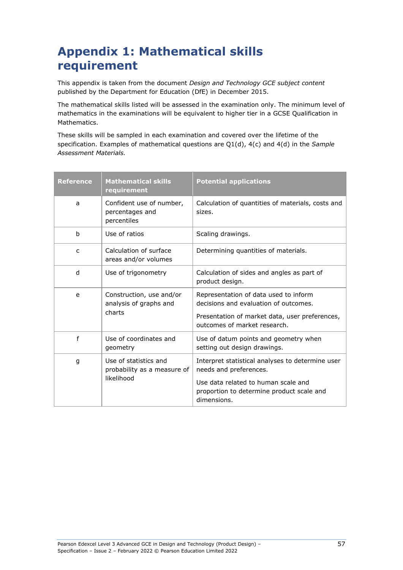# **Appendix 1: Mathematical skills requirement**

This appendix is taken from the document *Design and Technology GCE subject content* published by the Department for Education (DfE) in December 2015.

The mathematical skills listed will be assessed in the examination only. The minimum level of mathematics in the examinations will be equivalent to higher tier in a GCSE Qualification in Mathematics.

These skills will be sampled in each examination and covered over the lifetime of the specification. Examples of mathematical questions are Q1(d), 4(c) and 4(d) in the *Sample Assessment Materials.*

| Reference | <b>Mathematical skills</b><br>requirement                          | <b>Potential applications</b>                                                                                                                                    |
|-----------|--------------------------------------------------------------------|------------------------------------------------------------------------------------------------------------------------------------------------------------------|
| a         | Confident use of number,<br>percentages and<br>percentiles         | Calculation of quantities of materials, costs and<br>sizes.                                                                                                      |
| b         | Use of ratios                                                      | Scaling drawings.                                                                                                                                                |
| C         | Calculation of surface<br>areas and/or volumes                     | Determining quantities of materials.                                                                                                                             |
| d         | Use of trigonometry                                                | Calculation of sides and angles as part of<br>product design.                                                                                                    |
| e         | Construction, use and/or<br>analysis of graphs and<br>charts       | Representation of data used to inform<br>decisions and evaluation of outcomes.<br>Presentation of market data, user preferences,<br>outcomes of market research. |
| f         | Use of coordinates and<br>geometry                                 | Use of datum points and geometry when<br>setting out design drawings.                                                                                            |
| g         | Use of statistics and<br>probability as a measure of<br>likelihood | Interpret statistical analyses to determine user<br>needs and preferences.                                                                                       |
|           |                                                                    | Use data related to human scale and<br>proportion to determine product scale and<br>dimensions.                                                                  |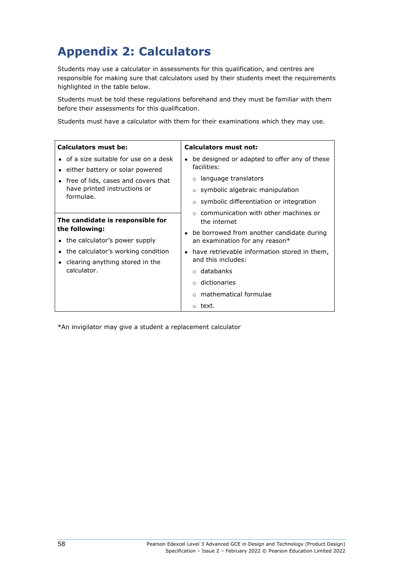# **Appendix 2: Calculators**

Students may use a calculator in assessments for this qualification, and centres are responsible for making sure that calculators used by their students meet the requirements highlighted in the table below.

Students must be told these regulations beforehand and they must be familiar with them before their assessments for this qualification.

Students must have a calculator with them for their examinations which they may use.

| Calculators must be:                              | <b>Calculators must not:</b>                                                |
|---------------------------------------------------|-----------------------------------------------------------------------------|
| • of a size suitable for use on a desk            | be designed or adapted to offer any of these<br>facilities:                 |
| • either battery or solar powered                 |                                                                             |
| • free of lids, cases and covers that             | o language translators                                                      |
| have printed instructions or                      | $\circ$ symbolic algebraic manipulation                                     |
| formulae.                                         | $\circ$ symbolic differentiation or integration                             |
| The candidate is responsible for                  | communication with other machines or<br>the internet                        |
| the following:<br>• the calculator's power supply | be borrowed from another candidate during<br>an examination for any reason* |
| • the calculator's working condition              | have retrievable information stored in them,                                |
| • clearing anything stored in the                 | and this includes:                                                          |
| calculator.                                       | databanks<br>$\Omega$                                                       |
|                                                   | dictionaries<br>$\Omega$                                                    |
|                                                   | mathematical formulae                                                       |
|                                                   | o text.                                                                     |

\*An invigilator may give a student a replacement calculator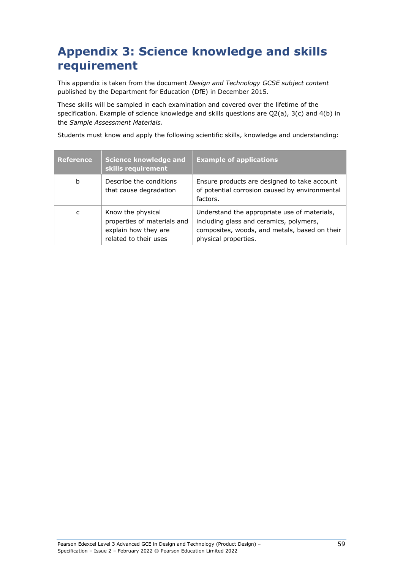# **Appendix 3: Science knowledge and skills requirement**

This appendix is taken from the document *Design and Technology GCSE subject content* published by the Department for Education (DfE) in December 2015.

These skills will be sampled in each examination and covered over the lifetime of the specification. Example of science knowledge and skills questions are Q2(a), 3(c) and 4(b) in the *Sample Assessment Materials.*

Students must know and apply the following scientific skills, knowledge and understanding:

| <b>Reference</b> | <b>Science knowledge and</b><br>skills requirement                                                | <b>Example of applications</b>                                                                                                                                   |
|------------------|---------------------------------------------------------------------------------------------------|------------------------------------------------------------------------------------------------------------------------------------------------------------------|
| b                | Describe the conditions<br>that cause degradation                                                 | Ensure products are designed to take account<br>of potential corrosion caused by environmental<br>factors.                                                       |
| C                | Know the physical<br>properties of materials and<br>explain how they are<br>related to their uses | Understand the appropriate use of materials,<br>including glass and ceramics, polymers,<br>composites, woods, and metals, based on their<br>physical properties. |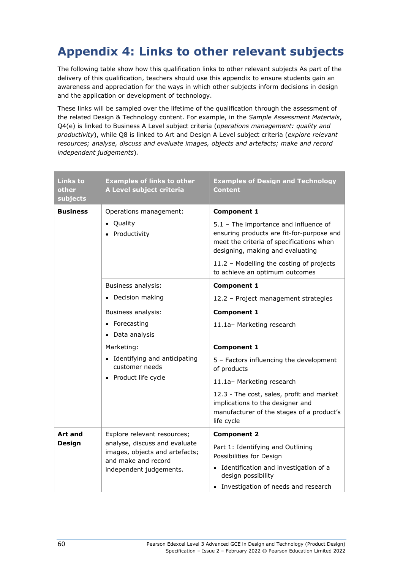# **Appendix 4: Links to other relevant subjects**

The following table show how this qualification links to other relevant subjects As part of the delivery of this qualification, teachers should use this appendix to ensure students gain an awareness and appreciation for the ways in which other subjects inform decisions in design and the application or development of technology.

These links will be sampled over the lifetime of the qualification through the assessment of the related Design & Technology content. For example, in the *Sample Assessment Materials*, Q4(e) is linked to Business A Level subject criteria (*operations management: quality and productivity*), while Q8 is linked to Art and Design A Level subject criteria (*explore relevant resources; analyse, discuss and evaluate images, objects and artefacts; make and record independent judgements*)*.*

| <b>Links to</b><br>other<br>subjects | <b>Examples of links to other</b><br>A Level subject criteria                                                     | <b>Examples of Design and Technology</b><br>Content                                                                                                                |
|--------------------------------------|-------------------------------------------------------------------------------------------------------------------|--------------------------------------------------------------------------------------------------------------------------------------------------------------------|
| <b>Business</b>                      | Operations management:                                                                                            | <b>Component 1</b>                                                                                                                                                 |
|                                      | Quality<br>• Productivity                                                                                         | 5.1 - The importance and influence of<br>ensuring products are fit-for-purpose and<br>meet the criteria of specifications when<br>designing, making and evaluating |
|                                      |                                                                                                                   | 11.2 - Modelling the costing of projects<br>to achieve an optimum outcomes                                                                                         |
|                                      | Business analysis:                                                                                                | <b>Component 1</b>                                                                                                                                                 |
|                                      | Decision making<br>$\bullet$                                                                                      | 12.2 - Project management strategies                                                                                                                               |
|                                      | Business analysis:                                                                                                | <b>Component 1</b>                                                                                                                                                 |
|                                      | • Forecasting                                                                                                     | 11.1a- Marketing research                                                                                                                                          |
|                                      | Data analysis                                                                                                     |                                                                                                                                                                    |
|                                      | Marketing:                                                                                                        | <b>Component 1</b>                                                                                                                                                 |
|                                      | • Identifying and anticipating<br>customer needs<br>• Product life cycle                                          | 5 - Factors influencing the development<br>of products                                                                                                             |
|                                      |                                                                                                                   | 11.1a- Marketing research                                                                                                                                          |
|                                      |                                                                                                                   | 12.3 - The cost, sales, profit and market<br>implications to the designer and<br>manufacturer of the stages of a product's<br>life cycle                           |
| Art and                              | Explore relevant resources;                                                                                       | <b>Component 2</b>                                                                                                                                                 |
| <b>Design</b>                        | analyse, discuss and evaluate<br>images, objects and artefacts;<br>and make and record<br>independent judgements. | Part 1: Identifying and Outlining<br>Possibilities for Design                                                                                                      |
|                                      |                                                                                                                   | • Identification and investigation of a<br>design possibility                                                                                                      |
|                                      |                                                                                                                   | • Investigation of needs and research                                                                                                                              |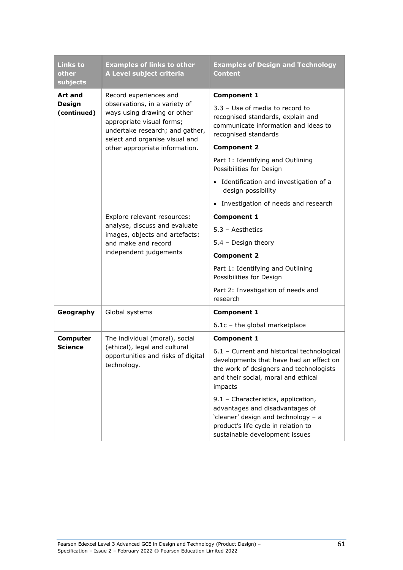| <b>Links to</b><br>other<br>subjects | <b>Examples of links to other</b><br>A Level subject criteria                                                                                                  | <b>Examples of Design and Technology</b><br><b>Content</b>                                                                                                                             |
|--------------------------------------|----------------------------------------------------------------------------------------------------------------------------------------------------------------|----------------------------------------------------------------------------------------------------------------------------------------------------------------------------------------|
| Art and                              | Record experiences and                                                                                                                                         | <b>Component 1</b>                                                                                                                                                                     |
| <b>Design</b><br>(continued)         | observations, in a variety of<br>ways using drawing or other<br>appropriate visual forms;<br>undertake research; and gather,<br>select and organise visual and | 3.3 - Use of media to record to<br>recognised standards, explain and<br>communicate information and ideas to<br>recognised standards                                                   |
|                                      | other appropriate information.                                                                                                                                 | <b>Component 2</b>                                                                                                                                                                     |
|                                      |                                                                                                                                                                | Part 1: Identifying and Outlining<br>Possibilities for Design                                                                                                                          |
|                                      |                                                                                                                                                                | Identification and investigation of a<br>$\bullet$<br>design possibility                                                                                                               |
|                                      |                                                                                                                                                                | Investigation of needs and research<br>$\bullet$                                                                                                                                       |
|                                      | Explore relevant resources:<br>analyse, discuss and evaluate<br>images, objects and artefacts:<br>and make and record<br>independent judgements                | <b>Component 1</b>                                                                                                                                                                     |
|                                      |                                                                                                                                                                | $5.3 - Aesthetics$                                                                                                                                                                     |
|                                      |                                                                                                                                                                | 5.4 - Design theory                                                                                                                                                                    |
|                                      |                                                                                                                                                                | <b>Component 2</b>                                                                                                                                                                     |
|                                      |                                                                                                                                                                | Part 1: Identifying and Outlining<br>Possibilities for Design                                                                                                                          |
|                                      |                                                                                                                                                                | Part 2: Investigation of needs and<br>research                                                                                                                                         |
| Geography                            | Global systems                                                                                                                                                 | <b>Component 1</b>                                                                                                                                                                     |
|                                      |                                                                                                                                                                | $6.1c$ - the global marketplace                                                                                                                                                        |
| <b>Computer</b>                      | The individual (moral), social                                                                                                                                 | <b>Component 1</b>                                                                                                                                                                     |
| Science                              | (ethical), legal and cultural<br>opportunities and risks of digital<br>technology.                                                                             | 6.1 - Current and historical technological<br>developments that have had an effect on<br>the work of designers and technologists<br>and their social, moral and ethical<br>impacts     |
|                                      |                                                                                                                                                                | 9.1 - Characteristics, application,<br>advantages and disadvantages of<br>'cleaner' design and technology - a<br>product's life cycle in relation to<br>sustainable development issues |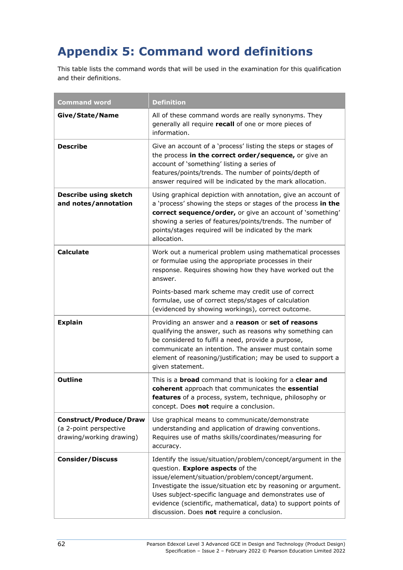# **Appendix 5: Command word definitions**

This table lists the command words that will be used in the examination for this qualification and their definitions.

| <b>Command word</b>                                                                 | <b>Definition</b>                                                                                                                                                                                                                                                                                                                                                                                |
|-------------------------------------------------------------------------------------|--------------------------------------------------------------------------------------------------------------------------------------------------------------------------------------------------------------------------------------------------------------------------------------------------------------------------------------------------------------------------------------------------|
| Give/State/Name                                                                     | All of these command words are really synonyms. They<br>generally all require recall of one or more pieces of<br>information.                                                                                                                                                                                                                                                                    |
| <b>Describe</b>                                                                     | Give an account of a 'process' listing the steps or stages of<br>the process in the correct order/sequence, or give an<br>account of 'something' listing a series of<br>features/points/trends. The number of points/depth of<br>answer required will be indicated by the mark allocation.                                                                                                       |
| Describe using sketch<br>and notes/annotation                                       | Using graphical depiction with annotation, give an account of<br>a 'process' showing the steps or stages of the process in the<br>correct sequence/order, or give an account of 'something'<br>showing a series of features/points/trends. The number of<br>points/stages required will be indicated by the mark<br>allocation.                                                                  |
| <b>Calculate</b>                                                                    | Work out a numerical problem using mathematical processes<br>or formulae using the appropriate processes in their<br>response. Requires showing how they have worked out the<br>answer.                                                                                                                                                                                                          |
|                                                                                     | Points-based mark scheme may credit use of correct<br>formulae, use of correct steps/stages of calculation<br>(evidenced by showing workings), correct outcome.                                                                                                                                                                                                                                  |
| <b>Explain</b>                                                                      | Providing an answer and a reason or set of reasons<br>qualifying the answer, such as reasons why something can<br>be considered to fulfil a need, provide a purpose,<br>communicate an intention. The answer must contain some<br>element of reasoning/justification; may be used to support a<br>given statement.                                                                               |
| <b>Outline</b>                                                                      | This is a <b>broad</b> command that is looking for a clear and<br>coherent approach that communicates the essential<br>features of a process, system, technique, philosophy or<br>concept. Does not require a conclusion.                                                                                                                                                                        |
| <b>Construct/Produce/Draw</b><br>(a 2-point perspective<br>drawing/working drawing) | Use graphical means to communicate/demonstrate<br>understanding and application of drawing conventions.<br>Requires use of maths skills/coordinates/measuring for<br>accuracy.                                                                                                                                                                                                                   |
| <b>Consider/Discuss</b>                                                             | Identify the issue/situation/problem/concept/argument in the<br>question. Explore aspects of the<br>issue/element/situation/problem/concept/argument.<br>Investigate the issue/situation etc by reasoning or argument.<br>Uses subject-specific language and demonstrates use of<br>evidence (scientific, mathematical, data) to support points of<br>discussion. Does not require a conclusion. |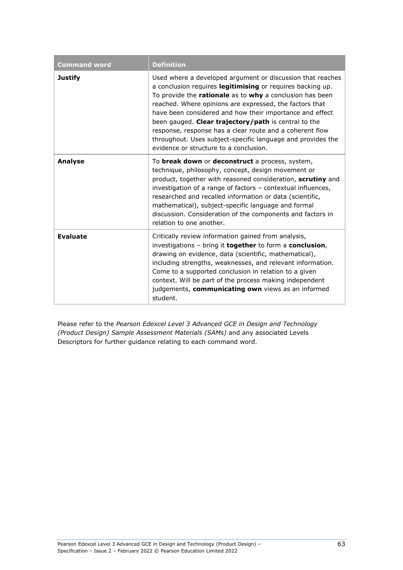| <b>Command word</b> | <b>Definition</b>                                                                                                                                                                                                                                                                                                                                                                                                                                                                                                                        |
|---------------------|------------------------------------------------------------------------------------------------------------------------------------------------------------------------------------------------------------------------------------------------------------------------------------------------------------------------------------------------------------------------------------------------------------------------------------------------------------------------------------------------------------------------------------------|
| <b>Justify</b>      | Used where a developed argument or discussion that reaches<br>a conclusion requires legitimising or requires backing up.<br>To provide the rationale as to why a conclusion has been<br>reached. Where opinions are expressed, the factors that<br>have been considered and how their importance and effect<br>been gauged. Clear trajectory/path is central to the<br>response, response has a clear route and a coherent flow<br>throughout. Uses subject-specific language and provides the<br>evidence or structure to a conclusion. |
| <b>Analyse</b>      | To <b>break down</b> or <b>deconstruct</b> a process, system,<br>technique, philosophy, concept, design movement or<br>product, together with reasoned consideration, scrutiny and<br>investigation of a range of factors - contextual influences,<br>researched and recalled information or data (scientific,<br>mathematical), subject-specific language and formal<br>discussion. Consideration of the components and factors in<br>relation to one another.                                                                          |
| <b>Evaluate</b>     | Critically review information gained from analysis,<br>investigations - bring it together to form a conclusion,<br>drawing on evidence, data (scientific, mathematical),<br>including strengths, weaknesses, and relevant information.<br>Come to a supported conclusion in relation to a given<br>context. Will be part of the process making independent<br>judgements, communicating own views as an informed<br>student.                                                                                                             |

Please refer to the *Pearson Edexcel Level 3 Advanced GCE in Design and Technology (Product Design) Sample Assessment Materials (SAMs)* and any associated Levels Descriptors for further guidance relating to each command word.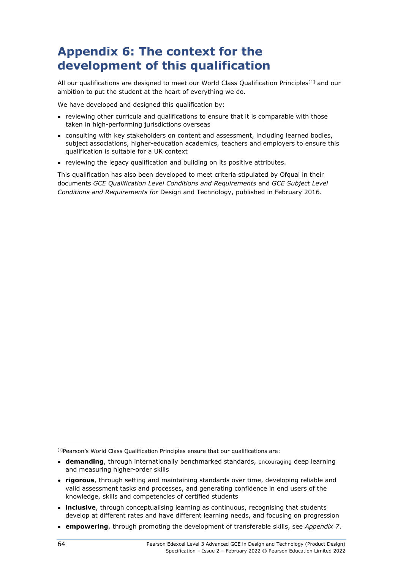# **Appendix 6: The context for the development of this qualification**

All our qualifications are designed to meet our World Class Qualification Principles<sup>[[1\]](#page-67-0)</sup> and our ambition to put the student at the heart of everything we do.

We have developed and designed this qualification by:

- reviewing other curricula and qualifications to ensure that it is comparable with those taken in high-performing jurisdictions overseas
- consulting with key stakeholders on content and assessment, including learned bodies, subject associations, higher-education academics, teachers and employers to ensure this qualification is suitable for a UK context
- reviewing the legacy qualification and building on its positive attributes.

This qualification has also been developed to meet criteria stipulated by Ofqual in their documents *GCE Qualification Level Conditions and Requirements* and *GCE Subject Level Conditions and Requirements for* Design and Technology, published in February 2016.

<span id="page-67-0"></span><sup>&</sup>lt;sup>[1]</sup>Pearson's World Class Qualification Principles ensure that our qualifications are:

<sup>●</sup> **demanding**, through internationally benchmarked standards, encouraging deep learning and measuring higher-order skills

<sup>●</sup> **rigorous**, through setting and maintaining standards over time, developing reliable and valid assessment tasks and processes, and generating confidence in end users of the knowledge, skills and competencies of certified students

<sup>•</sup> **inclusive**, through conceptualising learning as continuous, recognising that students develop at different rates and have different learning needs, and focusing on progression

<sup>●</sup> **empowering**, through promoting the development of transferable skills, see *Appendix 7*.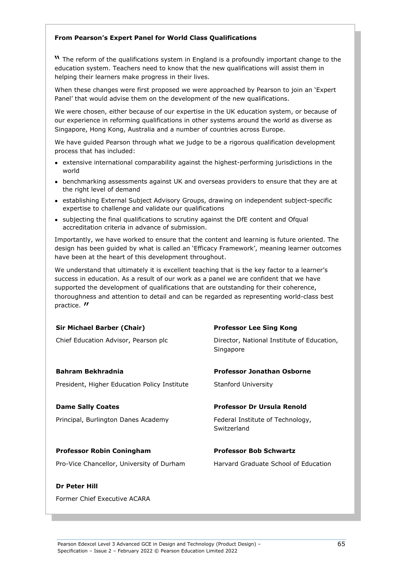#### **From Pearson's Expert Panel for World Class Qualifications**

**W** The reform of the qualifications system in England is a profoundly important change to the education system. Teachers need to know that the new qualifications will assist them in helping their learners make progress in their lives.

When these changes were first proposed we were approached by Pearson to join an 'Expert Panel' that would advise them on the development of the new qualifications.

We were chosen, either because of our expertise in the UK education system, or because of our experience in reforming qualifications in other systems around the world as diverse as Singapore, Hong Kong, Australia and a number of countries across Europe.

We have guided Pearson through what we judge to be a rigorous qualification development process that has included:

- extensive international comparability against the highest-performing jurisdictions in the world
- benchmarking assessments against UK and overseas providers to ensure that they are at the right level of demand
- establishing External Subject Advisory Groups, drawing on independent subject-specific expertise to challenge and validate our qualifications
- subjecting the final qualifications to scrutiny against the DfE content and Ofqual accreditation criteria in advance of submission.

Importantly, we have worked to ensure that the content and learning is future oriented. The design has been guided by what is called an 'Efficacy Framework', meaning learner outcomes have been at the heart of this development throughout.

We understand that ultimately it is excellent teaching that is the key factor to a learner's success in education. As a result of our work as a panel we are confident that we have supported the development of qualifications that are outstanding for their coherence, thoroughness and attention to detail and can be regarded as representing world-class best practice.  $''$ 

| <b>Sir Michael Barber (Chair)</b>            | <b>Professor Lee Sing Kong</b>                          |
|----------------------------------------------|---------------------------------------------------------|
| Chief Education Advisor, Pearson plc         | Director, National Institute of Education,<br>Singapore |
| <b>Bahram Bekhradnia</b>                     | <b>Professor Jonathan Osborne</b>                       |
| President, Higher Education Policy Institute | <b>Stanford University</b>                              |
| <b>Dame Sally Coates</b>                     | Professor Dr Ursula Renold                              |
|                                              |                                                         |
| Principal, Burlington Danes Academy          | Federal Institute of Technology,<br>Switzerland         |
|                                              |                                                         |
| <b>Professor Robin Coningham</b>             | <b>Professor Bob Schwartz</b>                           |
| Pro-Vice Chancellor, University of Durham    | Harvard Graduate School of Education                    |
| Dr Peter Hill                                |                                                         |

Former Chief Executive ACARA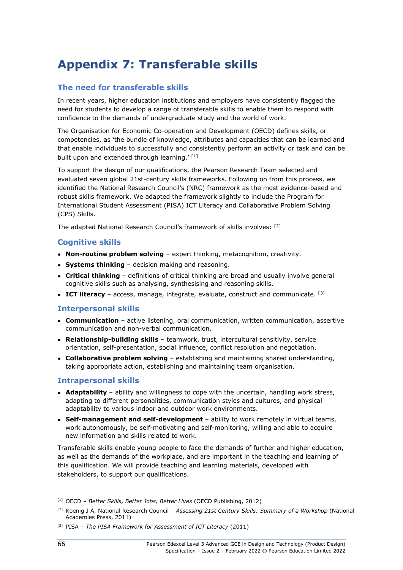# **Appendix 7: Transferable skills**

### **The need for transferable skills**

In recent years, higher education institutions and employers have consistently flagged the need for students to develop a range of transferable skills to enable them to respond with confidence to the demands of undergraduate study and the world of work.

The Organisation for Economic Co-operation and Development (OECD) defines skills, or competencies, as 'the bundle of knowledge, attributes and capacities that can be learned and that enable individuals to successfully and consistently perform an activity or task and can be built upon and extended through learning.' [[1\]](#page-69-0)

To support the design of our qualifications, the Pearson Research Team selected and evaluated seven global 21st-century skills frameworks. Following on from this process, we identified the National Research Council's (NRC) framework as the most evidence-based and robust skills framework. We adapted the framework slightly to include the Program for International Student Assessment (PISA) ICT Literacy and Collaborative Problem Solving (CPS) Skills.

The adapted National Research Council's framework of skills involves: [[2](#page-69-1)]

### **Cognitive skills**

- **Non-routine problem solving** expert thinking, metacognition, creativity.
- **Systems thinking** decision making and reasoning.
- **Critical thinking** definitions of critical thinking are broad and usually involve general cognitive skills such as analysing, synthesising and reasoning skills.
- $\bullet$  **ICT literacy** access, manage, integrate, evaluate, construct and communicate.  $^{[3]}$  $^{[3]}$  $^{[3]}$

#### **Interpersonal skills**

- **Communication** active listening, oral communication, written communication, assertive communication and non-verbal communication.
- **Relationship-building skills** teamwork, trust, intercultural sensitivity, service orientation, self-presentation, social influence, conflict resolution and negotiation.
- **Collaborative problem solving** establishing and maintaining shared understanding, taking appropriate action, establishing and maintaining team organisation.

#### **Intrapersonal skills**

- **Adaptability** ability and willingness to cope with the uncertain, handling work stress, adapting to different personalities, communication styles and cultures, and physical adaptability to various indoor and outdoor work environments.
- **Self-management and self-development** ability to work remotely in virtual teams, work autonomously, be self-motivating and self-monitoring, willing and able to acquire new information and skills related to work.

Transferable skills enable young people to face the demands of further and higher education, as well as the demands of the workplace, and are important in the teaching and learning of this qualification. We will provide teaching and learning materials, developed with stakeholders, to support our qualifications.

<span id="page-69-0"></span><sup>[1]</sup> OECD – *Better Skills, Better Jobs, Better Lives* (OECD Publishing, 2012)

<span id="page-69-1"></span><sup>[2]</sup> Koenig J A, National Research Council – *Assessing 21st Century Skills: Summary of a Workshop* (National Academies Press, 2011)

<span id="page-69-2"></span><sup>[3]</sup> PISA – *The PISA Framework for Assessment of ICT Literacy* (2011)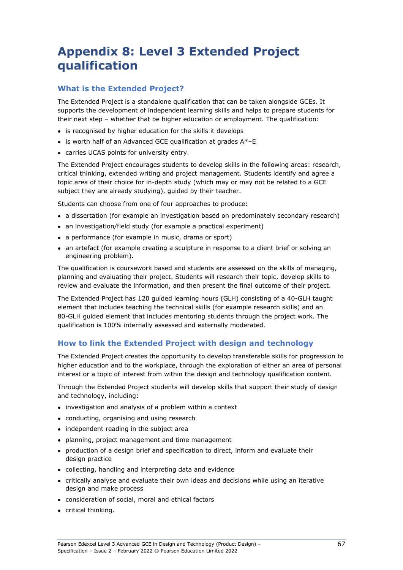# **Appendix 8: Level 3 Extended Project qualification**

### **What is the Extended Project?**

The Extended Project is a standalone qualification that can be taken alongside GCEs. It supports the development of independent learning skills and helps to prepare students for their next step – whether that be higher education or employment. The qualification:

- is recognised by higher education for the skills it develops
- $\bullet$  is worth half of an Advanced GCE qualification at grades A $\ast$ -E
- carries UCAS points for university entry.

The Extended Project encourages students to develop skills in the following areas: research, critical thinking, extended writing and project management. Students identify and agree a topic area of their choice for in-depth study (which may or may not be related to a GCE subject they are already studying), guided by their teacher.

Students can choose from one of four approaches to produce:

- a dissertation (for example an investigation based on predominately secondary research)
- an investigation/field study (for example a practical experiment)
- a performance (for example in music, drama or sport)
- an artefact (for example creating a sculpture in response to a client brief or solving an engineering problem).

The qualification is coursework based and students are assessed on the skills of managing, planning and evaluating their project. Students will research their topic, develop skills to review and evaluate the information, and then present the final outcome of their project.

The Extended Project has 120 guided learning hours (GLH) consisting of a 40-GLH taught element that includes teaching the technical skills (for example research skills) and an 80-GLH guided element that includes mentoring students through the project work. The qualification is 100% internally assessed and externally moderated.

### **How to link the Extended Project with design and technology**

The Extended Project creates the opportunity to develop transferable skills for progression to higher education and to the workplace, through the exploration of either an area of personal interest or a topic of interest from within the design and technology qualification content.

Through the Extended Project students will develop skills that support their study of design and technology, including:

- investigation and analysis of a problem within a context
- conducting, organising and using research
- independent reading in the subject area
- planning, project management and time management
- production of a design brief and specification to direct, inform and evaluate their design practice
- collecting, handling and interpreting data and evidence
- critically analyse and evaluate their own ideas and decisions while using an iterative design and make process
- consideration of social, moral and ethical factors
- critical thinking.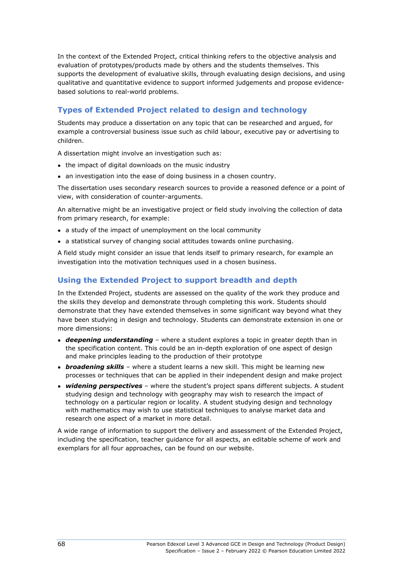In the context of the Extended Project, critical thinking refers to the objective analysis and evaluation of prototypes/products made by others and the students themselves. This supports the development of evaluative skills, through evaluating design decisions, and using qualitative and quantitative evidence to support informed judgements and propose evidencebased solutions to real-world problems.

# **Types of Extended Project related to design and technology**

Students may produce a dissertation on any topic that can be researched and argued, for example a controversial business issue such as child labour, executive pay or advertising to children.

A dissertation might involve an investigation such as:

- the impact of digital downloads on the music industry
- an investigation into the ease of doing business in a chosen country.

The dissertation uses secondary research sources to provide a reasoned defence or a point of view, with consideration of counter-arguments.

An alternative might be an investigative project or field study involving the collection of data from primary research, for example:

- a study of the impact of unemployment on the local community
- a statistical survey of changing social attitudes towards online purchasing.

A field study might consider an issue that lends itself to primary research, for example an investigation into the motivation techniques used in a chosen business.

### **Using the Extended Project to support breadth and depth**

In the Extended Project, students are assessed on the quality of the work they produce and the skills they develop and demonstrate through completing this work. Students should demonstrate that they have extended themselves in some significant way beyond what they have been studying in design and technology. Students can demonstrate extension in one or more dimensions:

- *deepening understanding* where a student explores a topic in greater depth than in the specification content. This could be an in-depth exploration of one aspect of design and make principles leading to the production of their prototype
- *broadening skills* where a student learns a new skill. This might be learning new processes or techniques that can be applied in their independent design and make project
- **widening perspectives** where the student's project spans different subjects. A student studying design and technology with geography may wish to research the impact of technology on a particular region or locality. A student studying design and technology with mathematics may wish to use statistical techniques to analyse market data and research one aspect of a market in more detail.

A wide range of information to support the delivery and assessment of the Extended Project, including the specification, teacher guidance for all aspects, an editable scheme of work and exemplars for all four approaches, can be found on our website.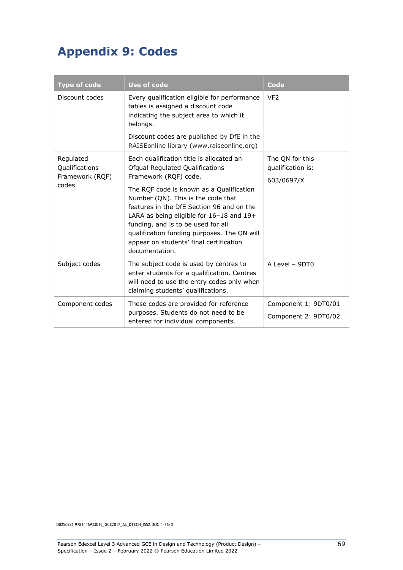## **Appendix 9: Codes**

| <b>Type of code</b>                                     | <b>Use of code</b>                                                                                                                                                                                                                                                                                                                                                                                                                | Code                                               |
|---------------------------------------------------------|-----------------------------------------------------------------------------------------------------------------------------------------------------------------------------------------------------------------------------------------------------------------------------------------------------------------------------------------------------------------------------------------------------------------------------------|----------------------------------------------------|
| Discount codes                                          | Every qualification eligible for performance<br>tables is assigned a discount code<br>indicating the subject area to which it<br>belongs.                                                                                                                                                                                                                                                                                         | VF <sub>2</sub>                                    |
|                                                         | Discount codes are published by DfE in the<br>RAISEonline library (www.raiseonline.org)                                                                                                                                                                                                                                                                                                                                           |                                                    |
| Regulated<br>Qualifications<br>Framework (RQF)<br>codes | Each qualification title is allocated an<br>Ofqual Regulated Qualifications<br>Framework (RQF) code.<br>The RQF code is known as a Qualification<br>Number (QN). This is the code that<br>features in the DfE Section 96 and on the<br>LARA as being eligible for 16-18 and 19+<br>funding, and is to be used for all<br>qualification funding purposes. The QN will<br>appear on students' final certification<br>documentation. | The QN for this<br>qualification is:<br>603/0697/X |
| Subject codes                                           | The subject code is used by centres to<br>enter students for a qualification. Centres<br>will need to use the entry codes only when<br>claiming students' qualifications.                                                                                                                                                                                                                                                         | A Level - 9DT0                                     |
| Component codes                                         | These codes are provided for reference<br>purposes. Students do not need to be<br>entered for individual components.                                                                                                                                                                                                                                                                                                              | Component 1: 9DT0/01<br>Component 2: 9DT0/02       |

DB250221 9781446933015\_GCE2017\_AL\_DTECH\_ISS2.DOC.1–76/0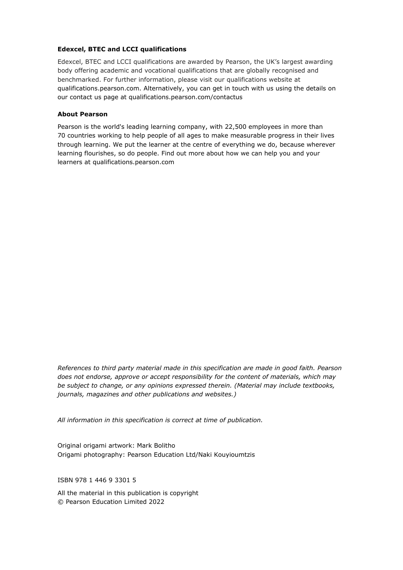## **Edexcel, BTEC and LCCI qualifications**

Edexcel, BTEC and LCCI qualifications are awarded by Pearson, the UK's largest awarding body offering academic and vocational qualifications that are globally recognised and benchmarked. For further information, please visit our qualifications website at [qualifications.pearson.com.](http://qualifications.pearson.com/) Alternatively, you can get in touch with us using the details on our contact us page at [qualifications.pearson.com/](http://qualifications.pearson.com/)contactus

## **About Pearson**

Pearson is the world's leading learning company, with 22,500 employees in more than 70 countries working to help people of all ages to make measurable progress in their lives through learning. We put the learner at the centre of everything we do, because wherever learning flourishes, so do people. Find out more about how we can help you and your learners at qualifications.pearson.com

*References to third party material made in this specification are made in good faith. Pearson does not endorse, approve or accept responsibility for the content of materials, which may be subject to change, or any opinions expressed therein. (Material may include textbooks, journals, magazines and other publications and websites.)*

*All information in this specification is correct at time of publication.*

Original origami artwork: Mark Bolitho Origami photography: Pearson Education Ltd/Naki Kouyioumtzis

ISBN 978 1 446 9 3301 5

All the material in this publication is copyright © Pearson Education Limited 2022